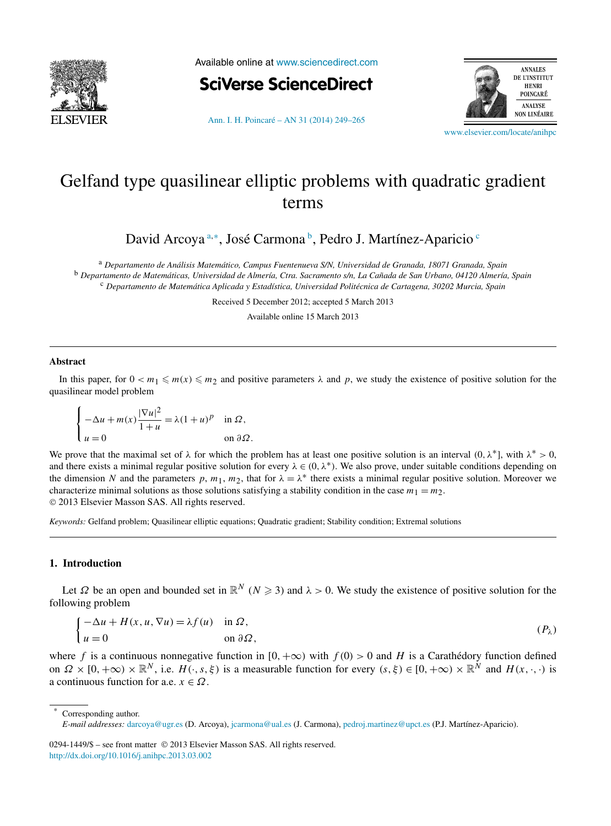<span id="page-0-0"></span>

Available online at [www.sciencedirect.com](http://www.sciencedirect.com)





[Ann. I. H. Poincaré – AN 31 \(2014\) 249–265](http://dx.doi.org/10.1016/j.anihpc.2013.03.002)

[www.elsevier.com/locate/anihpc](http://www.elsevier.com/locate/anihpc)

# Gelfand type quasilinear elliptic problems with quadratic gradient terms

David Arcoya<sup>a,∗</sup>, José Carmona<sup>b</sup>, Pedro J. Martínez-Aparicio<sup>c</sup>

<sup>a</sup> *Departamento de Análisis Matemático, Campus Fuentenueva S/N, Universidad de Granada, 18071 Granada, Spain* <sup>b</sup> *Departamento de Matemáticas, Universidad de Almería, Ctra. Sacramento s/n, La Cañada de San Urbano, 04120 Almería, Spain* <sup>c</sup> *Departamento de Matemática Aplicada y Estadística, Universidad Politécnica de Cartagena, 30202 Murcia, Spain*

Received 5 December 2012; accepted 5 March 2013

Available online 15 March 2013

### **Abstract**

In this paper, for  $0 < m_1 \le m(x) \le m_2$  and positive parameters  $\lambda$  and  $p$ , we study the existence of positive solution for the quasilinear model problem

$$
\begin{cases}\n-\Delta u + m(x) \frac{|\nabla u|^2}{1+u} = \lambda (1+u)^p & \text{in } \Omega, \\
u = 0 & \text{on } \partial \Omega.\n\end{cases}
$$

We prove that the maximal set of  $\lambda$  for which the problem has at least one positive solution is an interval  $(0, \lambda^*)$ , with  $\lambda^* > 0$ , and there exists a minimal regular positive solution for every  $\lambda \in (0, \lambda^*)$ . We also prove, under suitable conditions depending on the dimension *N* and the parameters *p*,  $m_1$ ,  $m_2$ , that for  $\lambda = \lambda^*$  there exists a minimal regular positive solution. Moreover we characterize minimal solutions as those solutions satisfying a stability condition in the case  $m_1 = m_2$ . © 2013 Elsevier Masson SAS. All rights reserved.

*Keywords:* Gelfand problem; Quasilinear elliptic equations; Quadratic gradient; Stability condition; Extremal solutions

## **1. Introduction**

Let  $\Omega$  be an open and bounded set in  $\mathbb{R}^N$  ( $N \ge 3$ ) and  $\lambda > 0$ . We study the existence of positive solution for the following problem

$$
\begin{cases}\n-\Delta u + H(x, u, \nabla u) = \lambda f(u) & \text{in } \Omega, \\
u = 0 & \text{on } \partial \Omega,\n\end{cases}
$$
\n
$$
(P_{\lambda})
$$

where *f* is a continuous nonnegative function in  $[0, +\infty)$  with  $f(0) > 0$  and *H* is a Carathédory function defined on  $\Omega \times [0, +\infty) \times \mathbb{R}^N$ , i.e.  $H(\cdot, s, \xi)$  is a measurable function for every  $(s, \xi) \in [0, +\infty) \times \mathbb{R}^N$  and  $H(x, \cdot, \cdot)$  is a continuous function for a.e.  $x \in \Omega$ .

0294-1449/\$ – see front matter © 2013 Elsevier Masson SAS. All rights reserved. <http://dx.doi.org/10.1016/j.anihpc.2013.03.002>

Corresponding author.

*E-mail addresses:* [darcoya@ugr.es](mailto:darcoya@ugr.es) (D. Arcoya), [jcarmona@ual.es](mailto:jcarmona@ual.es) (J. Carmona), [pedroj.martinez@upct.es](mailto:pedroj.martinez@upct.es) (P.J. Martínez-Aparicio).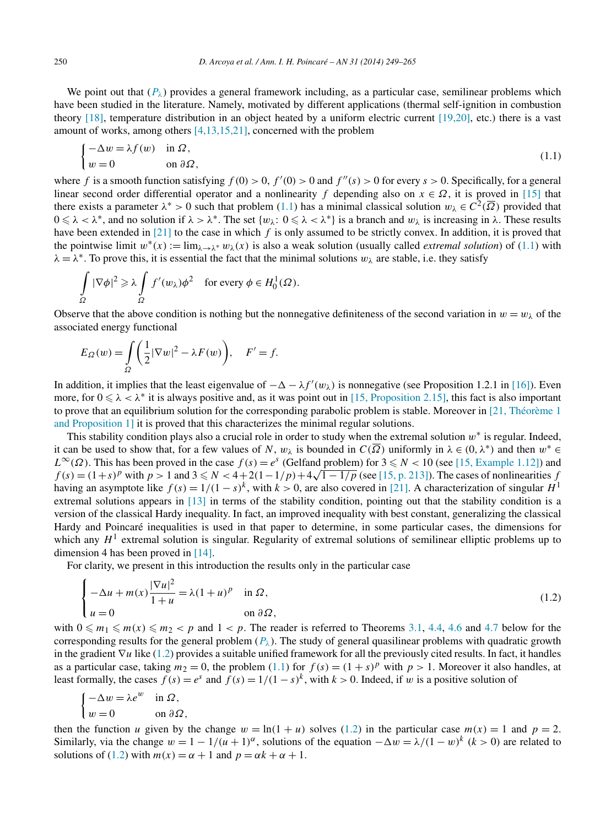<span id="page-1-0"></span>

We point out that  $(P_\lambda)$  provides a general framework including, as a particular case, semilinear problems which have been studied in the literature. Namely, motivated by different applications (thermal self-ignition in combustion theory [\[18\],](#page-16-0) temperature distribution in an object heated by a uniform electric current [\[19,20\],](#page-16-0) etc.) there is a vast amount of works, among others [\[4,13,15,21\],](#page-16-0) concerned with the problem

$$
\begin{cases}\n-\Delta w = \lambda f(w) & \text{in } \Omega, \\
w = 0 & \text{on } \partial \Omega,\n\end{cases}
$$
\n(1.1)

where *f* is a smooth function satisfying  $f(0) > 0$ ,  $f'(0) > 0$  and  $f''(s) > 0$  for every  $s > 0$ . Specifically, for a general linear second order differential operator and a nonlinearity *f* depending also on  $x \in \Omega$ , it is proved in [\[15\]](#page-16-0) that there exists a parameter  $\lambda^* > 0$  such that problem (1.1) has a minimal classical solution  $w_\lambda \in C^2(\overline{\Omega})$  provided that  $0 \le \lambda < \lambda^*$ , and no solution if  $\lambda > \lambda^*$ . The set  $\{w_\lambda : 0 \le \lambda < \lambda^*\}$  is a branch and  $w_\lambda$  is increasing in  $\lambda$ . These results have been extended in [\[21\]](#page-16-0) to the case in which *f* is only assumed to be strictly convex. In addition, it is proved that the pointwise limit  $w^*(x) := \lim_{\lambda \to \lambda^*} w_\lambda(x)$  is also a weak solution (usually called *extremal solution*) of (1.1) with  $\lambda = \lambda^*$ . To prove this, it is essential the fact that the minimal solutions  $w_\lambda$  are stable, i.e. they satisfy

$$
\int_{\Omega} |\nabla \phi|^2 \geq \lambda \int_{\Omega} f'(w_{\lambda}) \phi^2 \quad \text{for every } \phi \in H_0^1(\Omega).
$$

Observe that the above condition is nothing but the nonnegative definiteness of the second variation in  $w = w_\lambda$  of the associated energy functional

$$
E_{\Omega}(w) = \int_{\Omega} \left( \frac{1}{2} |\nabla w|^2 - \lambda F(w) \right), \quad F' = f.
$$

In addition, it implies that the least eigenvalue of  $-\Delta - \lambda f'(w_\lambda)$  is nonnegative (see Proposition 1.2.1 in [\[16\]\)](#page-16-0). Even more, for  $0 \le \lambda < \lambda^*$  it is always positive and, as it was point out in [\[15, Proposition 2.15\],](#page-16-0) this fact is also important to prove that an equilibrium solution for the corresponding parabolic problem is stable. Moreover in [\[21, Théorème 1](#page-16-0) [and Proposition 1\]](#page-16-0) it is proved that this characterizes the minimal regular solutions.

This stability condition plays also a crucial role in order to study when the extremal solution *w*<sup>∗</sup> is regular. Indeed, it can be used to show that, for a few values of *N*,  $w_{\lambda}$  is bounded in  $C(\overline{\Omega})$  uniformly in  $\lambda \in (0, \lambda^*)$  and then  $w^* \in$  $L^{\infty}(\Omega)$ . This has been proved in the case  $f(s) = e^s$  (Gelfand problem) for  $3 \le N < 10$  (see [\[15, Example 1.12\]\)](#page-16-0) and  $f(s) = (1+s)^p$  with  $p > 1$  and  $3 \le N < 4+2(1-1/p)+4\sqrt{1-1/p}$  (see [\[15, p. 213\]\)](#page-16-0). The cases of nonlinearities *f* having an asymptote like  $f(s) = 1/(1 - s)^k$ , with  $k > 0$ , are also covered in [\[21\].](#page-16-0) A characterization of singular  $H^1$ extremal solutions appears in [\[13\]](#page-16-0) in terms of the stability condition, pointing out that the stability condition is a version of the classical Hardy inequality. In fact, an improved inequality with best constant, generalizing the classical Hardy and Poincaré inequalities is used in that paper to determine, in some particular cases, the dimensions for which any  $H<sup>1</sup>$  extremal solution is singular. Regularity of extremal solutions of semilinear elliptic problems up to dimension 4 has been proved in [\[14\].](#page-16-0)

For clarity, we present in this introduction the results only in the particular case

$$
\begin{cases}\n-\Delta u + m(x) \frac{|\nabla u|^2}{1+u} = \lambda (1+u)^p & \text{in } \Omega, \\
u = 0 & \text{on } \partial \Omega,\n\end{cases}
$$
\n(1.2)

with  $0 \le m_1 \le m(x) \le m_2 < p$  and  $1 < p$ . The reader is referred to Theorems [3.1,](#page-5-0) [4.4,](#page-11-0) [4.6](#page-12-0) and [4.7](#page-14-0) below for the corresponding results for the general problem  $(P_\lambda)$ . The study of general quasilinear problems with quadratic growth in the gradient ∇*u* like (1.2) provides a suitable unified framework for all the previously cited results. In fact, it handles as a particular case, taking  $m_2 = 0$ , the problem (1.1) for  $f(s) = (1 + s)^p$  with  $p > 1$ . Moreover it also handles, at least formally, the cases  $f(s) = e^s$  and  $f(s) = 1/(1-s)^k$ , with  $k > 0$ . Indeed, if *w* is a positive solution of

$$
\begin{cases}\n-\Delta w = \lambda e^w & \text{in } \Omega, \\
w = 0 & \text{on } \partial \Omega,\n\end{cases}
$$

then the function *u* given by the change  $w = \ln(1 + u)$  solves (1.2) in the particular case  $m(x) = 1$  and  $p = 2$ . Similarly, via the change  $w = 1 - 1/(u + 1)^{\alpha}$ , solutions of the equation  $-\Delta w = \lambda/(1 - w)^{k}$  (*k >* 0) are related to solutions of (1.2) with  $m(x) = \alpha + 1$  and  $p = \alpha k + \alpha + 1$ .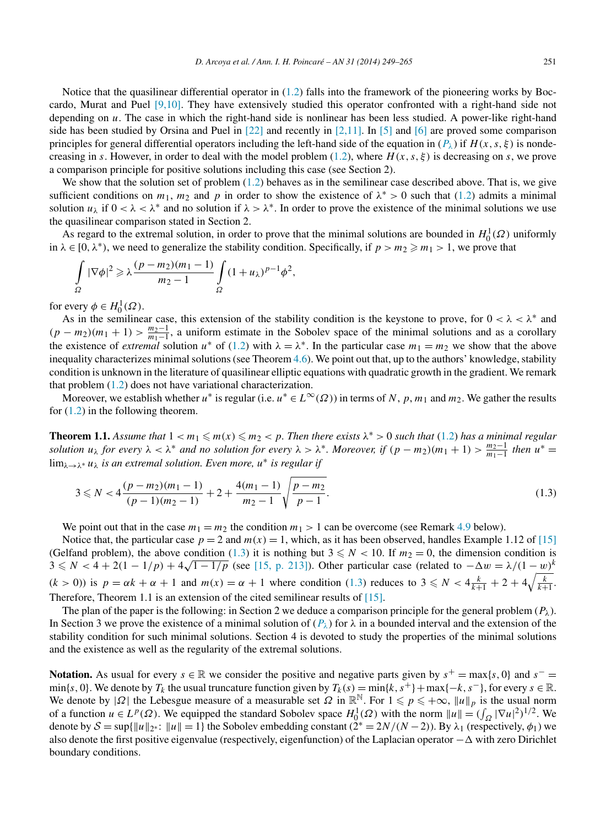<span id="page-2-0"></span>Notice that the quasilinear differential operator in  $(1.2)$  falls into the framework of the pioneering works by Boccardo, Murat and Puel [\[9,10\].](#page-16-0) They have extensively studied this operator confronted with a right-hand side not depending on *u*. The case in which the right-hand side is nonlinear has been less studied. A power-like right-hand side has been studied by Orsina and Puel in  $[22]$  and recently in  $[2,11]$ . In [\[5\]](#page-16-0) and [\[6\]](#page-16-0) are proved some comparison principles for general differential operators including the left-hand side of the equation in  $(P_\lambda)$  if  $H(x, s, \xi)$  is nondecreasing in *s*. However, in order to deal with the model problem [\(1.2\)](#page-1-0), where  $H(x, s, \xi)$  is decreasing on *s*, we prove a comparison principle for positive solutions including this case (see Section 2).

We show that the solution set of problem  $(1.2)$  behaves as in the semilinear case described above. That is, we give sufficient conditions on  $m_1$ ,  $m_2$  and p in order to show the existence of  $\lambda^* > 0$  such that [\(1.2\)](#page-1-0) admits a minimal solution  $u_\lambda$  if  $0 < \lambda < \lambda^*$  and no solution if  $\lambda > \lambda^*$ . In order to prove the existence of the minimal solutions we use the quasilinear comparison stated in Section 2.

As regard to the extremal solution, in order to prove that the minimal solutions are bounded in  $H_0^1(\Omega)$  uniformly in  $\lambda \in [0, \lambda^*)$ , we need to generalize the stability condition. Specifically, if  $p > m_2 \ge m_1 > 1$ , we prove that

$$
\int_{\Omega} |\nabla \phi|^2 \geqslant \lambda \frac{(p-m_2)(m_1-1)}{m_2-1} \int_{\Omega} (1+u_{\lambda})^{p-1} \phi^2,
$$

for every  $\phi \in H_0^1(\Omega)$ .

As in the semilinear case, this extension of the stability condition is the keystone to prove, for  $0 < \lambda < \lambda^*$  and  $(p - m_2)(m_1 + 1) > \frac{m_2 - 1}{m_1 - 1}$ , a uniform estimate in the Sobolev space of the minimal solutions and as a corollary the existence of *extremal* solution  $u^*$  of [\(1.2\)](#page-1-0) with  $\lambda = \lambda^*$ . In the particular case  $m_1 = m_2$  we show that the above inequality characterizes minimal solutions (see Theorem [4.6\)](#page-12-0). We point out that, up to the authors' knowledge, stability condition is unknown in the literature of quasilinear elliptic equations with quadratic growth in the gradient. We remark that problem [\(1.2\)](#page-1-0) does not have variational characterization.

Moreover, we establish whether *u*<sup>\*</sup> is regular (i.e.  $u^* \in L^\infty(\Omega)$ ) in terms of *N*, *p*, *m*<sub>1</sub> and *m*<sub>2</sub>. We gather the results for  $(1.2)$  in the following theorem.

**Theorem 1.1.** Assume that  $1 < m_1 \le m(x) \le m_2 < p$ . Then there exists  $\lambda^* > 0$  such that [\(1.2\)](#page-1-0) has a minimal regular *solution*  $u_\lambda$  *for every*  $\lambda < \lambda^*$  *and no solution for every*  $\lambda > \lambda^*$ *. Moreover, if*  $(p - m_2)(m_1 + 1) > \frac{m_2 - 1}{m_1 - 1}$  *then*  $u^* =$ lim<sub> $\lambda \rightarrow \lambda^* u_\lambda$  *is an extremal solution. Even more,*  $u^*$  *is regular if*</sub>

$$
3 \leq N < 4\frac{(p-m_2)(m_1-1)}{(p-1)(m_2-1)} + 2 + \frac{4(m_1-1)}{m_2-1} \sqrt{\frac{p-m_2}{p-1}}.\tag{1.3}
$$

We point out that in the case  $m_1 = m_2$  the condition  $m_1 > 1$  can be overcome (see Remark [4.9](#page-15-0) below).

Notice that, the particular case  $p = 2$  and  $m(x) = 1$ , which, as it has been observed, handles Example 1.12 of [\[15\]](#page-16-0) (Gelfand problem), the above condition (1.3) it is nothing but  $3 \le N < 10$ . If  $m_2 = 0$ , the dimension condition is (Gerrand problem), the above condition (1.5) it is nothing but  $3 \le N < 10$ . If  $m_2 = 0$ , the dimension condition is  $3 \le N < 4 + 2(1 - 1/p) + 4\sqrt{1 - 1/p}$  (see [\[15, p. 213\]\)](#page-16-0). Other particular case (related to  $-\Delta w = \lambda/(1 - w)^k$  $(k > 0)$ ) is  $p = \alpha k + \alpha + 1$  and  $m(x) = \alpha + 1$  where condition (1.3) reduces to  $3 \le N < 4\frac{k}{k+1} + 2 + 4\sqrt{\frac{k}{k+1}}$ . Therefore, Theorem 1.1 is an extension of the cited semilinear results of [\[15\].](#page-16-0)

The plan of the paper is the following: in Section 2 we deduce a comparison principle for the general problem  $(P_\lambda)$ . In Section 3 we prove the existence of a minimal solution of  $(P_\lambda)$  for  $\lambda$  in a bounded interval and the extension of the stability condition for such minimal solutions. Section 4 is devoted to study the properties of the minimal solutions and the existence as well as the regularity of the extremal solutions.

**Notation.** As usual for every *s* ∈ R we consider the positive and negative parts given by  $s^+ = \max\{s, 0\}$  and  $s^- =$ min{*s*, 0}. We denote by  $T_k$  the usual truncature function given by  $T_k(s) = \min\{k, s^+\} + \max\{-k, s^-\}$ , for every  $s \in \mathbb{R}$ . We denote by  $|\Omega|$  the Lebesgue measure of a measurable set  $\Omega$  in  $\mathbb{R}^{\mathbb{N}}$ . For  $1 \leqslant p \leqslant +\infty$ ,  $||u||_p$  is the usual norm of a function  $u \in L^p(\Omega)$ . We equipped the standard Sobolev space  $H_0^1(\Omega)$  with the norm  $||u|| = (\int_{\Omega} |\nabla u|^2)^{1/2}$ . We denote by  $S = \sup\{\|u\|_{2^*}: \|u\| = 1\}$  the Sobolev embedding constant  $(2^* = 2N/(N-2))$ . By  $\lambda_1$  (respectively,  $\phi_1$ ) we also denote the first positive eigenvalue (respectively, eigenfunction) of the Laplacian operator −  $\Delta$  with zero Dirichlet boundary conditions.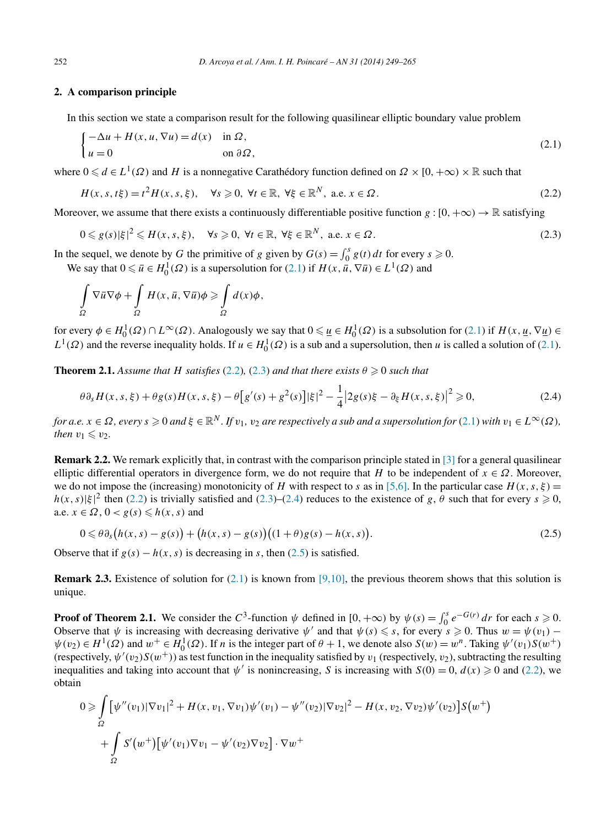## <span id="page-3-0"></span>**2. A comparison principle**

In this section we state a comparison result for the following quasilinear elliptic boundary value problem

$$
\begin{cases}\n-\Delta u + H(x, u, \nabla u) = d(x) & \text{in } \Omega, \\
u = 0 & \text{on } \partial \Omega,\n\end{cases}
$$
\n(2.1)

where  $0 \le d \in L^1(\Omega)$  and *H* is a nonnegative Carathédory function defined on  $\Omega \times [0, +\infty) \times \mathbb{R}$  such that

$$
H(x, s, t\xi) = t^2 H(x, s, \xi), \quad \forall s \ge 0, \forall t \in \mathbb{R}, \forall \xi \in \mathbb{R}^N, \text{ a.e. } x \in \Omega.
$$
 (2.2)

Moreover, we assume that there exists a continuously differentiable positive function  $g : [0, +\infty) \to \mathbb{R}$  satisfying

$$
0 \leq g(s)|\xi|^2 \leq H(x,s,\xi), \quad \forall s \geq 0, \ \forall t \in \mathbb{R}, \ \forall \xi \in \mathbb{R}^N, \ \text{a.e. } x \in \Omega.
$$

In the sequel, we denote by *G* the primitive of *g* given by  $G(s) = \int_0^s g(t) dt$  for every  $s \ge 0$ . We say that  $0 \le \bar{u} \in H_0^1(\Omega)$  is a supersolution for  $(2.1)$  if  $H(x, \bar{u}, \nabla \bar{u}) \in L^1(\Omega)$  and

$$
\int_{\Omega} \nabla \overline{u} \nabla \phi + \int_{\Omega} H(x, \overline{u}, \nabla \overline{u}) \phi \ge \int_{\Omega} d(x) \phi,
$$

for every  $\phi \in H_0^1(\Omega) \cap L^\infty(\Omega)$ . Analogously we say that  $0 \leq \underline{u} \in H_0^1(\Omega)$  is a subsolution for (2.1) if  $H(x, \underline{u}, \nabla \underline{u}) \in$  $L^1(\Omega)$  and the reverse inequality holds. If  $u \in H_0^1(\Omega)$  is a sub and a supersolution, then *u* is called a solution of (2.1).

**Theorem 2.1.** *Assume that H satisfies* (2.2)*,* (2.3) *and that there exists*  $\theta \ge 0$  *such that* 

$$
\theta \partial_s H(x, s, \xi) + \theta g(s)H(x, s, \xi) - \theta \left[ g'(s) + g^2(s) \right] |\xi|^2 - \frac{1}{4} |2g(s)\xi - \partial_\xi H(x, s, \xi)|^2 \ge 0,
$$
\n(2.4)

for a.e.  $x \in \Omega$ , every  $s \ge 0$  and  $\xi \in \mathbb{R}^N$ . If  $v_1, v_2$  are respectively a sub and a supersolution for (2.1) with  $v_1 \in L^{\infty}(\Omega)$ , *then*  $v_1 \leq v_2$ *.* 

**Remark 2.2.** We remark explicitly that, in contrast with the comparison principle stated in [\[3\]](#page-16-0) for a general quasilinear elliptic differential operators in divergence form, we do not require that *H* to be independent of  $x \in \Omega$ . Moreover, we do not impose the (increasing) monotonicity of *H* with respect to *s* as in [\[5,6\].](#page-16-0) In the particular case  $H(x, s, \xi) =$  $h(x, s)$ | $\xi$ |<sup>2</sup> then (2.2) is trivially satisfied and (2.3)–(2.4) reduces to the existence of *g*,  $\theta$  such that for every  $s \ge 0$ , a.e.  $x \in \Omega$ ,  $0 < g(s) \leq h(x, s)$  and

$$
0 \leq \theta \partial_{s} (h(x, s) - g(s)) + (h(x, s) - g(s))((1 + \theta)g(s) - h(x, s)).
$$
\n(2.5)

Observe that if  $g(s) - h(x, s)$  is decreasing in *s*, then (2.5) is satisfied.

**Remark 2.3.** Existence of solution for  $(2.1)$  is known from  $[9,10]$ , the previous theorem shows that this solution is unique.

**Proof of Theorem 2.1.** We consider the  $C^3$ -function  $\psi$  defined in  $[0, +\infty)$  by  $\psi(s) = \int_0^s e^{-G(r)} dr$  for each  $s \ge 0$ . Observe that  $\psi$  is increasing with decreasing derivative  $\psi'$  and that  $\psi(s) \leq s$ , for every  $s \geq 0$ . Thus  $w = \psi(v_1)$  –  $\psi(v_2) \in H^1(\Omega)$  and  $w^+ \in H_0^1(\Omega)$ . If *n* is the integer part of  $\theta + 1$ , we denote also  $S(w) = w^n$ . Taking  $\psi'(v_1)S(w^+)$ (respectively,  $\psi'(v_2)S(w^+)$ ) as test function in the inequality satisfied by  $v_1$  (respectively,  $v_2$ ), subtracting the resulting inequalities and taking into account that  $\psi'$  is nonincreasing, *S* is increasing with  $S(0) = 0$ ,  $d(x) \ge 0$  and (2.2), we obtain

$$
0 \geq \int_{\Omega} \left[ \psi''(v_1) |\nabla v_1|^2 + H(x, v_1, \nabla v_1) \psi'(v_1) - \psi''(v_2) |\nabla v_2|^2 - H(x, v_2, \nabla v_2) \psi'(v_2) \right] S(w^+) + \int_{\Omega} S'(w^+) \left[ \psi'(v_1) \nabla v_1 - \psi'(v_2) \nabla v_2 \right] \cdot \nabla w^+
$$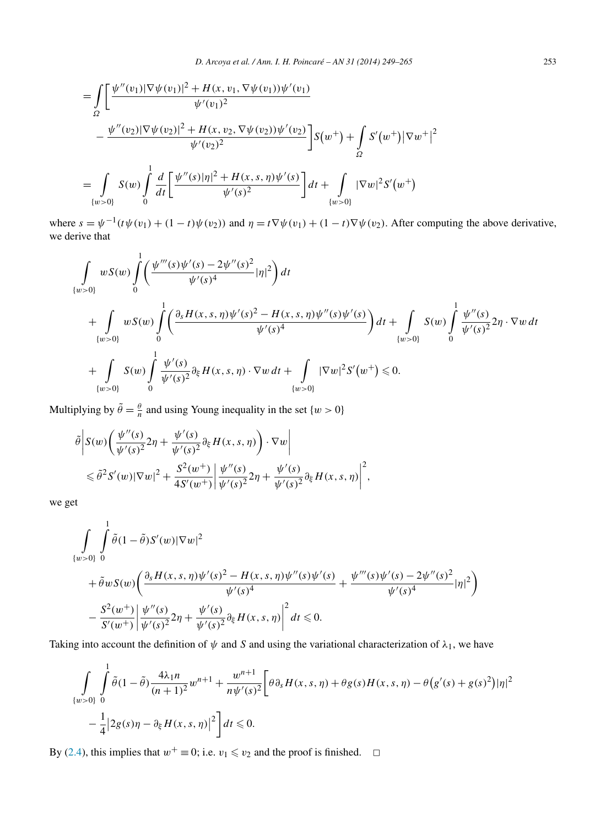$$
= \int_{\Omega} \left[ \frac{\psi''(v_1) |\nabla \psi(v_1)|^2 + H(x, v_1, \nabla \psi(v_1)) \psi'(v_1)}{\psi'(v_1)^2} - \frac{\psi''(v_2) |\nabla \psi(v_2)|^2 + H(x, v_2, \nabla \psi(v_2)) \psi'(v_2)}{\psi'(v_2)^2} \right] S(w^+) + \int_{\Omega} S'(w^+) |\nabla w^+|^2
$$
  

$$
= \int_{\{w>0\}} S(w) \int_0^1 \frac{d}{dt} \left[ \frac{\psi''(s) |\eta|^2 + H(x, s, \eta) \psi'(s)}{\psi'(s)^2} \right] dt + \int_{\{w>0\}} |\nabla w|^2 S'(w^+)
$$

where  $s = \psi^{-1}(t\psi(v_1) + (1 - t)\psi(v_2))$  and  $\eta = t\nabla\psi(v_1) + (1 - t)\nabla\psi(v_2)$ . After computing the above derivative, we derive that

$$
\int_{\{w>0\}} wS(w) \int_{0}^{1} \left( \frac{\psi'''(s)\psi'(s) - 2\psi''(s)^{2}}{\psi'(s)^{4}} |\eta|^{2} \right) dt
$$
\n
$$
+ \int_{\{w>0\}} wS(w) \int_{0}^{1} \left( \frac{\partial_{s}H(x,s,\eta)\psi'(s)^{2} - H(x,s,\eta)\psi''(s)\psi'(s)}{\psi'(s)^{4}} \right) dt + \int_{\{w>0\}} S(w) \int_{0}^{1} \frac{\psi''(s)}{\psi'(s)^{2}} 2\eta \cdot \nabla w dt
$$
\n
$$
+ \int_{\{w>0\}} S(w) \int_{0}^{1} \frac{\psi'(s)}{\psi'(s)^{2}} \partial_{\xi}H(x,s,\eta) \cdot \nabla w dt + \int_{\{w>0\}} |\nabla w|^{2} S'(w^{+}) \leq 0.
$$

Multiplying by  $\tilde{\theta} = \frac{\theta}{n}$  and using Young inequality in the set  $\{w > 0\}$ 

$$
\tilde{\theta}\Big|S(w)\Big(\frac{\psi''(s)}{\psi'(s)^2}2\eta+\frac{\psi'(s)}{\psi'(s)^2}\partial_{\xi}H(x,s,\eta)\Big)\cdot\nabla w\Big|\leq \tilde{\theta}^2S'(w)|\nabla w|^2+\frac{S^2(w^+)}{4S'(w^+)}\Big|\frac{\psi''(s)}{\psi'(s)^2}2\eta+\frac{\psi'(s)}{\psi'(s)^2}\partial_{\xi}H(x,s,\eta)\Big|^2,
$$

we get

$$
\int_{\{w>0\}} \int_{0}^{1} \tilde{\theta}(1-\tilde{\theta})S'(w)|\nabla w|^{2} \n+ \tilde{\theta}wS(w)\left(\frac{\partial_{s}H(x,s,\eta)\psi'(s)^{2}-H(x,s,\eta)\psi''(s)\psi'(s)}{\psi'(s)^{4}}+\frac{\psi'''(s)\psi'(s)-2\psi''(s)^{2}}{\psi'(s)^{4}}|\eta|^{2}\right) \n- \frac{S^{2}(w^{+})}{S'(w^{+})}\left|\frac{\psi''(s)}{\psi'(s)^{2}}2\eta+\frac{\psi'(s)}{\psi'(s)^{2}}\partial_{\xi}H(x,s,\eta)\right|^{2}dt \leq 0.
$$

Taking into account the definition of *ψ* and *S* and using the variational characterization of *λ*1, we have

$$
\int_{\{w>0\}} \int_{0}^{1} \tilde{\theta}(1-\tilde{\theta}) \frac{4\lambda_1 n}{(n+1)^2} w^{n+1} + \frac{w^{n+1}}{n\psi'(s)^2} \Big[ \theta \partial_s H(x,s,\eta) + \theta g(s) H(x,s,\eta) - \theta \Big( g'(s) + g(s)^2 \Big) |\eta|^2 - \frac{1}{4} \Big| 2g(s)\eta - \partial_{\xi} H(x,s,\eta) \Big|^2 \Big] dt \leq 0.
$$

By [\(2.4\)](#page-3-0), this implies that  $w^+ \equiv 0$ ; i.e.  $v_1 \le v_2$  and the proof is finished.  $\Box$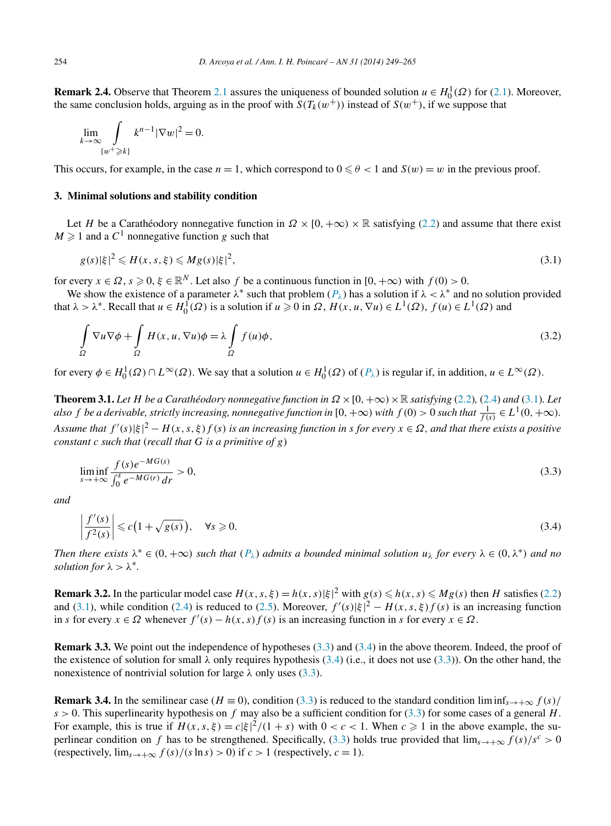<span id="page-5-0"></span>**Remark 2.4.** Observe that Theorem [2.1](#page-3-0) assures the uniqueness of bounded solution  $u \in H_0^1(\Omega)$  for [\(2.1\)](#page-3-0). Moreover, the same conclusion holds, arguing as in the proof with  $S(T_k(w^+))$  instead of  $S(w^+)$ , if we suppose that

$$
\lim_{k \to \infty} \int_{\{w^+ \ge k\}} k^{n-1} |\nabla w|^2 = 0.
$$

This occurs, for example, in the case  $n = 1$ , which correspond to  $0 \le \theta < 1$  and  $S(w) = w$  in the previous proof.

### **3. Minimal solutions and stability condition**

Let *H* be a Carathéodory nonnegative function in  $\Omega \times [0, +\infty) \times \mathbb{R}$  satisfying [\(2.2\)](#page-3-0) and assume that there exist  $M \ge 1$  and a  $C^1$  nonnegative function g such that

$$
g(s)|\xi|^2 \leqslant H(x,s,\xi) \leqslant Mg(s)|\xi|^2,\tag{3.1}
$$

for every  $x \in \Omega$ ,  $s \ge 0$ ,  $\xi \in \mathbb{R}^N$ . Let also f be a continuous function in  $[0, +\infty)$  with  $f(0) > 0$ .

We show the existence of a parameter  $\lambda^*$  such that problem  $(P_\lambda)$  has a solution if  $\lambda < \lambda^*$  and no solution provided that  $\lambda > \lambda^*$ . Recall that  $u \in H_0^1(\Omega)$  is a solution if  $u \geq 0$  in  $\Omega$ ,  $H(x, u, \nabla u) \in L^1(\Omega)$ ,  $f(u) \in L^1(\Omega)$  and

$$
\int_{\Omega} \nabla u \nabla \phi + \int_{\Omega} H(x, u, \nabla u) \phi = \lambda \int_{\Omega} f(u) \phi,
$$
\n(3.2)

for every  $\phi \in H_0^1(\Omega) \cap L^\infty(\Omega)$ . We say that a solution  $u \in H_0^1(\Omega)$  of  $(P_\lambda)$  is regular if, in addition,  $u \in L^\infty(\Omega)$ .

**Theorem 3.1.** Let *H* be a Carathéodory nonnegative function in  $\Omega \times [0, +\infty) \times \mathbb{R}$  satisfying [\(2.2\)](#page-3-0), [\(2.4\)](#page-3-0) and (3.1). Let *also f be a derivable, strictly increasing, nonnegative function in [0, +* $\infty$ *) with*  $f(0) > 0$  *such that*  $\frac{1}{f(s)} \in L^1(0,+\infty)$ *. Assume that*  $f'(s)|\xi|^2 - H(x,s,\xi)f(s)$  *is an increasing function in s for every*  $x \in \Omega$ *, and that there exists a positive constant c such that* (*recall that G is a primitive of g*)

$$
\liminf_{s \to +\infty} \frac{f(s)e^{-MG(s)}}{\int_0^s e^{-MG(r)} \, dr} > 0,\tag{3.3}
$$

*and*

$$
\left|\frac{f'(s)}{f^2(s)}\right| \leq c\left(1 + \sqrt{g(s)}\right), \quad \forall s \geqslant 0. \tag{3.4}
$$

*Then there exists*  $\lambda^* \in (0, +\infty)$  *such that*  $(P_\lambda)$  *admits a bounded minimal solution*  $u_\lambda$  *for every*  $\lambda \in (0, \lambda^*)$  *and no solution for*  $\lambda > \lambda^*$ *.* 

**Remark 3.2.** In the particular model case  $H(x, s, \xi) = h(x, s) |\xi|^2$  with  $g(s) \leq h(x, s) \leq Mg(s)$  then *H* satisfies [\(2.2\)](#page-3-0) and (3.1), while condition [\(2.4\)](#page-3-0) is reduced to [\(2.5\)](#page-3-0). Moreover,  $f'(s)|\xi|^2 - H(x, s, \xi)f(s)$  is an increasing function in *s* for every  $x \in \Omega$  whenever  $f'(s) - h(x, s) f(s)$  is an increasing function in *s* for every  $x \in \Omega$ .

**Remark 3.3.** We point out the independence of hypotheses (3.3) and (3.4) in the above theorem. Indeed, the proof of the existence of solution for small  $\lambda$  only requires hypothesis (3.4) (i.e., it does not use (3.3)). On the other hand, the nonexistence of nontrivial solution for large  $\lambda$  only uses (3.3).

**Remark 3.4.** In the semilinear case ( $H \equiv 0$ ), condition (3.3) is reduced to the standard condition lim inf<sub>s→+∞</sub>  $f(s)$ /  $s > 0$ . This superlinearity hypothesis on f may also be a sufficient condition for (3.3) for some cases of a general H. For example, this is true if  $H(x, s, \xi) = c|\xi|^2/(1+s)$  with  $0 < c < 1$ . When  $c \ge 1$  in the above example, the superlinear condition on *f* has to be strengthened. Specifically, (3.3) holds true provided that  $\lim_{s\to+\infty} f(s)/s^c > 0$ (respectively,  $\lim_{s\to\infty} f(s)/(s \ln s) > 0$ ) if  $c > 1$  (respectively,  $c = 1$ ).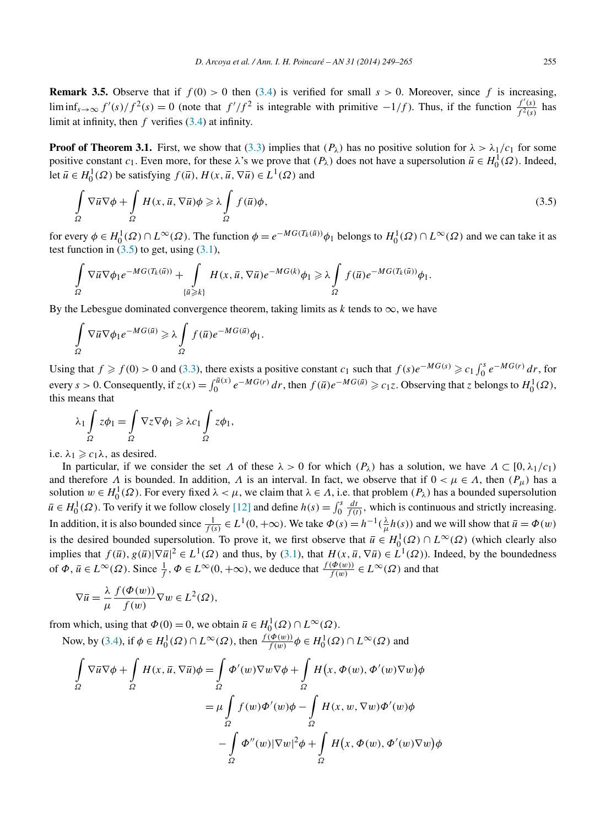**Remark 3.5.** Observe that if  $f(0) > 0$  then [\(3.4\)](#page-5-0) is verified for small  $s > 0$ . Moreover, since f is increasing, lim inf<sub>*s*→∞</sub>  $f'(s)/f^2(s) = 0$  (note that  $f'/f^2$  is integrable with primitive −1/f). Thus, if the function  $\frac{f'(s)}{f^2(s)}$  has limit at infinity, then *f* verifies [\(3.4\)](#page-5-0) at infinity.

**Proof of Theorem 3.1.** First, we show that [\(3.3\)](#page-5-0) implies that  $(P_\lambda)$  has no positive solution for  $\lambda > \lambda_1/c_1$  for some positive constant *c*<sub>1</sub>. Even more, for these  $\lambda$ 's we prove that  $(P_{\lambda})$  does not have a supersolution  $\bar{u} \in H_0^1(\Omega)$ . Indeed, let  $\bar{u} \in H_0^1(\Omega)$  be satisfying  $f(\bar{u})$ ,  $H(x, \bar{u}, \nabla \bar{u}) \in L^1(\Omega)$  and

$$
\int_{\Omega} \nabla \overline{u} \nabla \phi + \int_{\Omega} H(x, \overline{u}, \nabla \overline{u}) \phi \ge \lambda \int_{\Omega} f(\overline{u}) \phi,
$$
\n(3.5)

for every  $\phi \in H_0^1(\Omega) \cap L^\infty(\Omega)$ . The function  $\phi = e^{-MG(T_k(\bar{u}))}\phi_1$  belongs to  $H_0^1(\Omega) \cap L^\infty(\Omega)$  and we can take it as test function in  $(3.5)$  to get, using  $(3.1)$ ,

$$
\int\limits_{\Omega} \nabla \overline{u} \nabla \phi_1 e^{-MG(T_k(\overline{u}))} + \int\limits_{\{\overline{u}\geq k\}} H(x, \overline{u}, \nabla \overline{u}) e^{-MG(k)} \phi_1 \geq \lambda \int\limits_{\Omega} f(\overline{u}) e^{-MG(T_k(\overline{u}))} \phi_1.
$$

By the Lebesgue dominated convergence theorem, taking limits as  $k$  tends to  $\infty$ , we have

$$
\int_{\Omega} \nabla \overline{u} \nabla \phi_1 e^{-MG(\overline{u})} \geq \lambda \int_{\Omega} f(\overline{u}) e^{-MG(\overline{u})} \phi_1.
$$

Using that  $f \ge f(0) > 0$  and [\(3.3\)](#page-5-0), there exists a positive constant  $c_1$  such that  $f(s)e^{-MG(s)} \ge c_1 \int_0^s e^{-MG(r)} dr$ , for every *s* > 0. Consequently, if  $z(x) = \int_0^{\bar{u}(x)} e^{-MG(r)} dr$ , then  $f(\bar{u})e^{-MG(\bar{u})} \ge c_1 z$ . Observing that *z* belongs to  $H_0^1(\Omega)$ , this means that

$$
\lambda_1 \int_{\Omega} z \phi_1 = \int_{\Omega} \nabla z \nabla \phi_1 \geqslant \lambda c_1 \int_{\Omega} z \phi_1,
$$

i.e.  $\lambda_1 \geq c_1 \lambda$ , as desired.

In particular, if we consider the set *Λ* of these *λ >* 0 for which *(Pλ)* has a solution, we have *Λ* ⊂ [0*,λ*1*/c*1*)* and therefore *Λ* is bounded. In addition, *Λ* is an interval. In fact, we observe that if  $0 < \mu \in \Lambda$ , then  $(P_\mu)$  has a solution  $w \in H_0^1(\Omega)$ . For every fixed  $\lambda < \mu$ , we claim that  $\lambda \in \Lambda$ , i.e. that problem  $(P_\lambda)$  has a bounded supersolution  $\overline{u} \in H_0^1(\Omega)$ . To verify it we follow closely [\[12\]](#page-16-0) and define  $h(s) = \int_0^s \frac{dt}{f(t)}$ , which is continuous and strictly increasing. In addition, it is also bounded since  $\frac{1}{f(s)} \in L^1(0, +\infty)$ . We take  $\Phi(s) = h^{-1}(\frac{\lambda}{\mu}h(s))$  and we will show that  $\bar{u} = \Phi(w)$ is the desired bounded supersolution. To prove it, we first observe that  $\bar{u} \in H_0^1(\Omega) \cap L^\infty(\Omega)$  (which clearly also implies that  $f(\bar{u})$ ,  $g(\bar{u})|\nabla \bar{u}|^2 \in L^1(\Omega)$  and thus, by [\(3.1\)](#page-5-0), that  $H(x, \bar{u}, \nabla \bar{u}) \in L^1(\Omega)$ ). Indeed, by the boundedness of  $\Phi$ ,  $\overline{u} \in L^{\infty}(\Omega)$ . Since  $\frac{1}{f}$ ,  $\Phi \in L^{\infty}(0, +\infty)$ , we deduce that  $\frac{f(\Phi(w))}{f(w)} \in L^{\infty}(\Omega)$  and that

$$
\nabla \overline{u} = \frac{\lambda}{\mu} \frac{f(\Phi(w))}{f(w)} \nabla w \in L^{2}(\Omega),
$$

from which, using that  $\Phi(0) = 0$ , we obtain  $\overline{u} \in H_0^1(\Omega) \cap L^\infty(\Omega)$ . Now, by [\(3.4\)](#page-5-0), if  $\phi \in H_0^1(\Omega) \cap L^\infty(\Omega)$ , then  $\frac{f(\phi(w))}{f(w)} \phi \in H_0^1(\Omega) \cap L^\infty(\Omega)$  and

$$
\int_{\Omega} \nabla \overline{u} \nabla \phi + \int_{\Omega} H(x, \overline{u}, \nabla \overline{u}) \phi = \int_{\Omega} \Phi'(w) \nabla w \nabla \phi + \int_{\Omega} H(x, \Phi(w), \Phi'(w) \nabla w) \phi
$$

$$
= \mu \int_{\Omega} f(w) \Phi'(w) \phi - \int_{\Omega} H(x, w, \nabla w) \Phi'(w) \phi
$$

$$
- \int_{\Omega} \Phi''(w) |\nabla w|^2 \phi + \int_{\Omega} H(x, \Phi(w), \Phi'(w) \nabla w) \phi
$$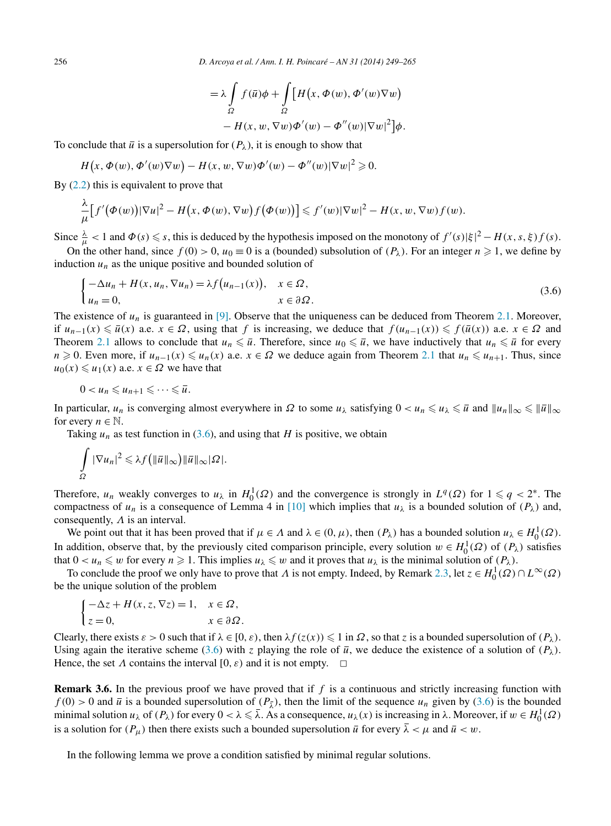$$
= \lambda \int_{\Omega} f(\overline{u}) \phi + \int_{\Omega} \left[ H(x, \Phi(w), \Phi'(w) \nabla w) - H(x, w, \nabla w) \Phi'(w) - \Phi''(w) |\nabla w|^2 \right] \phi.
$$

To conclude that  $\bar{u}$  is a supersolution for  $(P_{\lambda})$ , it is enough to show that

$$
H(x, \Phi(w), \Phi'(w)\nabla w) - H(x, w, \nabla w)\Phi'(w) - \Phi''(w)|\nabla w|^2 \geq 0.
$$

By  $(2.2)$  this is equivalent to prove that

$$
\frac{\lambda}{\mu} \Big[ f'(\Phi(w)) |\nabla u|^2 - H(x, \Phi(w), \nabla w) f(\Phi(w)) \Big] \leqslant f'(w) |\nabla w|^2 - H(x, w, \nabla w) f(w).
$$

Since  $\frac{\lambda}{\mu} < 1$  and  $\Phi(s) \leq s$ , this is deduced by the hypothesis imposed on the monotony of  $f'(s)|\xi|^2 - H(x, s, \xi)f(s)$ .

On the other hand, since  $f(0) > 0$ ,  $u_0 \equiv 0$  is a (bounded) subsolution of  $(P_\lambda)$ . For an integer  $n \ge 1$ , we define by induction  $u_n$  as the unique positive and bounded solution of

$$
\begin{cases}\n-\Delta u_n + H(x, u_n, \nabla u_n) = \lambda f(u_{n-1}(x)), & x \in \Omega, \\
u_n = 0, & x \in \partial \Omega.\n\end{cases}
$$
\n(3.6)

The existence of  $u_n$  is guaranteed in [\[9\].](#page-16-0) Observe that the uniqueness can be deduced from Theorem [2.1.](#page-3-0) Moreover, if  $u_{n-1}(x) \le \overline{u}(x)$  a.e.  $x \in \Omega$ , using that *f* is increasing, we deduce that  $f(u_{n-1}(x)) \le f(\overline{u}(x))$  a.e.  $x \in \Omega$  and Theorem [2.1](#page-3-0) allows to conclude that  $u_n \leq \bar{u}$ . Therefore, since  $u_0 \leq \bar{u}$ , we have inductively that  $u_n \leq \bar{u}$  for every *n* ≥ 0. Even more, if  $u_{n-1}(x) \le u_n(x)$  a.e.  $x \in \Omega$  we deduce again from Theorem [2.1](#page-3-0) that  $u_n \le u_{n+1}$ . Thus, since  $u_0(x) \le u_1(x)$  a.e.  $x \in \Omega$  we have that

$$
0
$$

In particular,  $u_n$  is converging almost everywhere in  $\Omega$  to some  $u_\lambda$  satisfying  $0 < u_n \leq u_\lambda \leq \overline{u}$  and  $||u_n||_\infty \leq ||\overline{u}||_\infty$ for every  $n \in \mathbb{N}$ .

Taking  $u_n$  as test function in (3.6), and using that *H* is positive, we obtain

$$
\int_{\Omega} |\nabla u_n|^2 \leqslant \lambda f\big(\|\bar{u}\|_{\infty}\big) \|\bar{u}\|_{\infty} |\Omega|.
$$

Therefore,  $u_n$  weakly converges to  $u_\lambda$  in  $H_0^1(\Omega)$  and the convergence is strongly in  $L^q(\Omega)$  for  $1 \leq q < 2^*$ . The compactness of  $u_n$  is a consequence of Lemma 4 in [\[10\]](#page-16-0) which implies that  $u_\lambda$  is a bounded solution of  $(P_\lambda)$  and, consequently, *Λ* is an interval.

We point out that it has been proved that if  $\mu \in \Lambda$  and  $\lambda \in (0, \mu)$ , then  $(P_{\lambda})$  has a bounded solution  $u_{\lambda} \in H_0^1(\Omega)$ . In addition, observe that, by the previously cited comparison principle, every solution  $w \in H_0^1(\Omega)$  of  $(P_\lambda)$  satisfies that  $0 < u_n \leq w$  for every  $n \geq 1$ . This implies  $u_\lambda \leq w$  and it proves that  $u_\lambda$  is the minimal solution of  $(P_\lambda)$ .

To conclude the proof we only have to prove that *Λ* is not empty. Indeed, by Remark [2.3,](#page-3-0) let  $z \in H_0^1(\Omega) \cap L^\infty(\Omega)$ be the unique solution of the problem

$$
\begin{cases}\n-\Delta z + H(x, z, \nabla z) = 1, & x \in \Omega, \\
z = 0, & x \in \partial \Omega.\n\end{cases}
$$

Clearly, there exists  $\varepsilon > 0$  such that if  $\lambda \in [0, \varepsilon)$ , then  $\lambda f(z(x)) \leq 1$  in  $\Omega$ , so that *z* is a bounded supersolution of  $(P_\lambda)$ . Using again the iterative scheme (3.6) with *z* playing the role of  $\bar{u}$ , we deduce the existence of a solution of  $(P_{\lambda})$ . Hence, the set  $\Lambda$  contains the interval  $[0, \varepsilon)$  and it is not empty.  $\Box$ 

**Remark 3.6.** In the previous proof we have proved that if *f* is a continuous and strictly increasing function with  $f(0) > 0$  and  $\bar{u}$  is a bounded supersolution of  $(P_{\bar{x}})$ , then the limit of the sequence  $u_n$  given by (3.6) is the bounded minimal solution  $u_\lambda$  of  $(P_\lambda)$  for every  $0 < \lambda \leq \overline{\lambda}$ . As a consequence,  $u_\lambda(x)$  is increasing in  $\lambda$ . Moreover, if  $w \in H_0^1(\Omega)$ is a solution for  $(P_\mu)$  then there exists such a bounded supersolution  $\overline{u}$  for every  $\overline{\lambda} < \mu$  and  $\overline{u} < w$ .

In the following lemma we prove a condition satisfied by minimal regular solutions.

<span id="page-7-0"></span>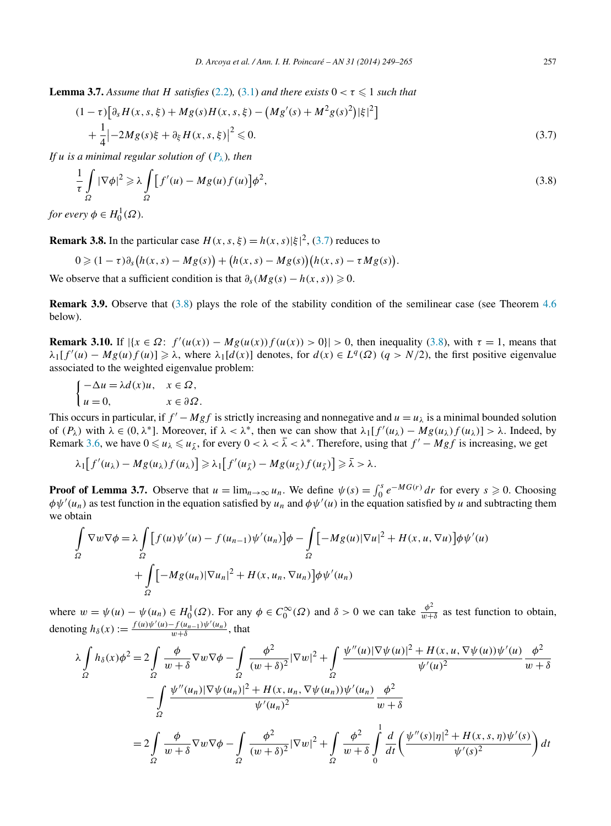<span id="page-8-0"></span>**Lemma 3.7.** *Assume that H satisfies* [\(2.2\)](#page-3-0), [\(3.1\)](#page-5-0) *and there exists*  $0 < \tau \leq 1$  *such that* 

$$
(1 - \tau) \left[ \partial_s H(x, s, \xi) + Mg(s)H(x, s, \xi) - \left( Mg'(s) + M^2 g(s)^2 \right) |\xi|^2 \right] + \frac{1}{4} \left| -2Mg(s)\xi + \partial_{\xi} H(x, s, \xi) \right|^2 \leq 0.
$$
 (3.7)

*If u is a minimal regular solution of*  $(P_\lambda)$ *, then* 

$$
\frac{1}{\tau} \int_{\Omega} |\nabla \phi|^2 \geq \lambda \int_{\Omega} \left[ f'(u) - Mg(u) f(u) \right] \phi^2,
$$
\n(3.8)

*for every*  $\phi \in H_0^1(\Omega)$ *.* 

**Remark 3.8.** In the particular case  $H(x, s, \xi) = h(x, s) |\xi|^2$ , (3.7) reduces to

$$
0 \geqslant (1-\tau)\partial_s\big(h(x,s)-Mg(s)\big)+\big(h(x,s)-Mg(s)\big)\big(h(x,s)-\tau Mg(s)\big).
$$

We observe that a sufficient condition is that  $\partial_{s}(Mg(s) - h(x, s)) \geq 0$ .

**Remark 3.9.** Observe that (3.8) plays the role of the stability condition of the semilinear case (see Theorem [4.6](#page-12-0)) below).

**Remark 3.10.** If  $|\{x \in \Omega : f'(u(x)) - Mg(u(x))f(u(x)) > 0\}| > 0$ , then inequality (3.8), with  $\tau = 1$ , means that  $\lambda_1[f'(u) - Mg(u)f(u)] \geq \lambda$ , where  $\lambda_1[d(x)]$  denotes, for  $d(x) \in L^q(\Omega)$  ( $q > N/2$ ), the first positive eigenvalue associated to the weighted eigenvalue problem:

$$
\begin{cases}\n-\Delta u = \lambda d(x)u, & x \in \Omega, \\
u = 0, & x \in \partial\Omega.\n\end{cases}
$$

This occurs in particular, if  $f' - Mgf$  is strictly increasing and nonnegative and  $u = u_\lambda$  is a minimal bounded solution of  $(P_\lambda)$  with  $\lambda \in (0, \lambda^*]$ . Moreover, if  $\lambda < \lambda^*$ , then we can show that  $\lambda_1[f'(u_\lambda) - Mg(u_\lambda)f(u_\lambda)] > \lambda$ . Indeed, by Remark [3.6,](#page-7-0) we have  $0 \le u_\lambda \le u_{\overline{\lambda}}$ , for every  $0 < \lambda < \overline{\lambda} < \lambda^*$ . Therefore, using that  $f' - Mgf$  is increasing, we get

$$
\lambda_1[f'(u_\lambda)-Mg(u_\lambda)f(u_\lambda)] \geq \lambda_1[f'(u_{\overline{\lambda}})-Mg(u_{\overline{\lambda}})f(u_{\overline{\lambda}})] \geq \overline{\lambda} > \lambda.
$$

**Proof of Lemma 3.7.** Observe that  $u = \lim_{n \to \infty} u_n$ . We define  $\psi(s) = \int_0^s e^{-MG(r)} dr$  for every  $s \ge 0$ . Choosing  $\phi\psi'(u_n)$  as test function in the equation satisfied by  $u_n$  and  $\phi\psi'(u)$  in the equation satisfied by *u* and subtracting them we obtain

$$
\int_{\Omega} \nabla w \nabla \phi = \lambda \int_{\Omega} \left[ f(u) \psi'(u) - f(u_{n-1}) \psi'(u_n) \right] \phi - \int_{\Omega} \left[ -M g(u) |\nabla u|^2 + H(x, u, \nabla u) \right] \phi \psi'(u) \n+ \int_{\Omega} \left[ -M g(u_n) |\nabla u_n|^2 + H(x, u_n, \nabla u_n) \right] \phi \psi'(u_n)
$$

where  $w = \psi(u) - \psi(u_n) \in H_0^1(\Omega)$ . For any  $\phi \in C_0^{\infty}(\Omega)$  and  $\delta > 0$  we can take  $\frac{\phi^2}{w + \delta}$  as test function to obtain, denoting  $h_\delta(x) := \frac{f(u)\psi'(u) - f(u_{n-1})\psi'(u_n)}{w+\delta}$ , that

$$
\lambda \int_{\Omega} h_{\delta}(x) \phi^{2} = 2 \int_{\Omega} \frac{\phi}{w + \delta} \nabla w \nabla \phi - \int_{\Omega} \frac{\phi^{2}}{(w + \delta)^{2}} |\nabla w|^{2} + \int_{\Omega} \frac{\psi''(u) |\nabla \psi(u)|^{2} + H(x, u, \nabla \psi(u)) \psi'(u)}{\psi'(u)^{2}} \frac{\phi^{2}}{w + \delta}
$$

$$
- \int_{\Omega} \frac{\psi''(u_{n}) |\nabla \psi(u_{n})|^{2} + H(x, u_{n}, \nabla \psi(u_{n})) \psi'(u_{n})}{\psi'(u_{n})^{2}} \frac{\phi^{2}}{w + \delta}
$$

$$
= 2 \int_{\Omega} \frac{\phi}{w + \delta} \nabla w \nabla \phi - \int_{\Omega} \frac{\phi^{2}}{(w + \delta)^{2}} |\nabla w|^{2} + \int_{\Omega} \frac{\phi^{2}}{w + \delta} \int_{0}^{1} \frac{d}{dt} \left( \frac{\psi''(s)|\eta|^{2} + H(x, s, \eta) \psi'(s)}{\psi'(s)^{2}} \right) dt
$$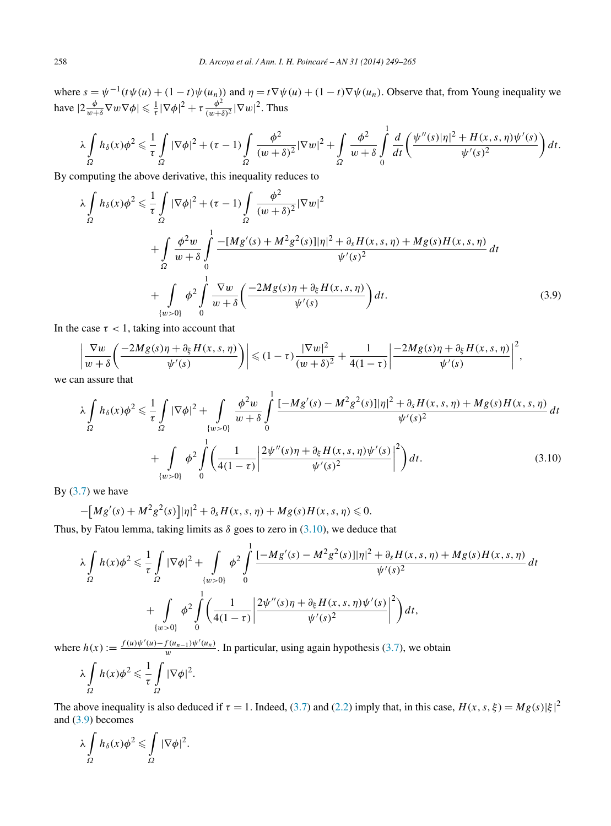where  $s = \psi^{-1}(t\psi(u) + (1 - t)\psi(u_n))$  and  $\eta = t\nabla\psi(u) + (1 - t)\nabla\psi(u_n)$ . Observe that, from Young inequality we have  $|2\frac{\phi}{w+\delta}\nabla w\nabla\phi| \leq \frac{1}{\tau}|\nabla\phi|^2 + \tau \frac{\phi^2}{(w+\delta)^2}|\nabla w|^2$ . Thus

$$
\lambda \int\limits_{\Omega} h_{\delta}(x) \phi^2 \leq \frac{1}{\tau} \int\limits_{\Omega} |\nabla \phi|^2 + (\tau - 1) \int\limits_{\Omega} \frac{\phi^2}{(w + \delta)^2} |\nabla w|^2 + \int\limits_{\Omega} \frac{\phi^2}{w + \delta} \int\limits_{0}^{1} \frac{d}{dt} \left( \frac{\psi''(s) |\eta|^2 + H(x, s, \eta) \psi'(s)}{\psi'(s)^2} \right) dt.
$$

By computing the above derivative, this inequality reduces to

$$
\lambda \int_{\Omega} h_{\delta}(x) \phi^{2} \leq \frac{1}{\tau} \int_{\Omega} |\nabla \phi|^{2} + (\tau - 1) \int_{\Omega} \frac{\phi^{2}}{(w + \delta)^{2}} |\nabla w|^{2} \n+ \int_{\Omega} \frac{\phi^{2} w}{w + \delta} \int_{0}^{1} \frac{-[Mg'(s) + M^{2}g^{2}(s)]|\eta|^{2} + \partial_{s} H(x, s, \eta) + Mg(s)H(x, s, \eta)}{\psi'(s)^{2}} dt \n+ \int_{\{w > 0\}} \phi^{2} \int_{0}^{1} \frac{\nabla w}{w + \delta} \left( \frac{-2Mg(s)\eta + \partial_{\xi} H(x, s, \eta)}{\psi'(s)} \right) dt.
$$
\n(3.9)

In the case  $\tau$  < 1, taking into account that

$$
\left|\frac{\nabla w}{w+\delta}\left(\frac{-2Mg(s)\eta+\partial_{\xi}H(x,s,\eta)}{\psi'(s)}\right)\right|\leqslant(1-\tau)\frac{|\nabla w|^2}{(w+\delta)^2}+\frac{1}{4(1-\tau)}\left|\frac{-2Mg(s)\eta+\partial_{\xi}H(x,s,\eta)}{\psi'(s)}\right|^2,
$$

we can assure that

$$
\lambda \int_{\Omega} h_{\delta}(x) \phi^{2} \leq \frac{1}{\tau} \int_{\Omega} |\nabla \phi|^{2} + \int_{\{w>0\}} \frac{\phi^{2}w}{w+\delta} \int_{0}^{1} \frac{[-M g'(s) - M^{2} g^{2}(s)]|\eta|^{2} + \partial_{s} H(x, s, \eta) + M g(s) H(x, s, \eta)}{\psi'(s)^{2}} dt + \int_{\{w>0\}} \phi^{2} \int_{0}^{1} \left( \frac{1}{4(1-\tau)} \left| \frac{2\psi''(s)\eta + \partial_{\xi} H(x, s, \eta)\psi'(s)}{\psi'(s)^{2}} \right|^{2} \right) dt.
$$
 (3.10)

By  $(3.7)$  we have

$$
-[Mg'(s) + M^2g^2(s)]|\eta|^2 + \partial_s H(x, s, \eta) + Mg(s)H(x, s, \eta) \leq 0.
$$

Thus, by Fatou lemma, taking limits as  $\delta$  goes to zero in (3.10), we deduce that

$$
\lambda \int_{\Omega} h(x) \phi^{2} \leq \frac{1}{\tau} \int_{\Omega} |\nabla \phi|^{2} + \int_{\{w>0\}} \phi^{2} \int_{0}^{1} \frac{[-M g'(s) - M^{2} g^{2}(s)] |\eta|^{2} + \partial_{s} H(x, s, \eta) + M g(s) H(x, s, \eta)}{\psi'(s)^{2}} dt + \int_{\{w>0\}} \phi^{2} \int_{0}^{1} \left( \frac{1}{4(1-\tau)} \left| \frac{2 \psi''(s) \eta + \partial_{\xi} H(x, s, \eta) \psi'(s)}{\psi'(s)^{2}} \right|^{2} \right) dt,
$$

where  $h(x) := \frac{f(u)\psi'(u) - f(u_{n-1})\psi'(u_n)}{w}$ . In particular, using again hypothesis [\(3.7\)](#page-8-0), we obtain

$$
\lambda \int_{\Omega} h(x) \phi^{2} \leq \frac{1}{\tau} \int_{\Omega} |\nabla \phi|^{2}.
$$

The above inequality is also deduced if  $\tau = 1$ . Indeed, [\(3.7\)](#page-8-0) and [\(2.2\)](#page-3-0) imply that, in this case,  $H(x, s, \xi) = Mg(s)|\xi|^2$ and (3.9) becomes

$$
\lambda \int_{\Omega} h_{\delta}(x) \phi^{2} \leq \int_{\Omega} |\nabla \phi|^{2}.
$$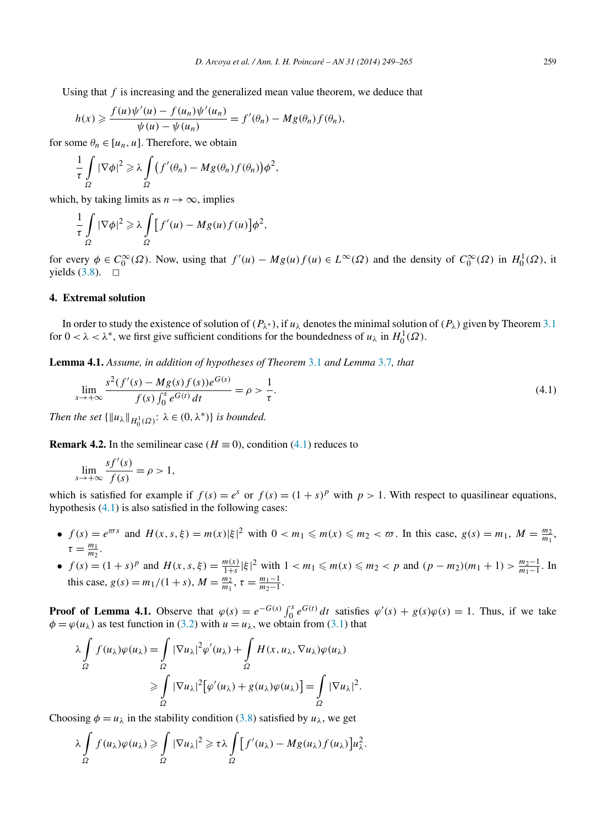<span id="page-10-0"></span>Using that *f* is increasing and the generalized mean value theorem, we deduce that

$$
h(x) \geq \frac{f(u)\psi'(u) - f(u_n)\psi'(u_n)}{\psi(u) - \psi(u_n)} = f'(\theta_n) - Mg(\theta_n)f(\theta_n),
$$

for some  $\theta_n \in [u_n, u]$ . Therefore, we obtain

$$
\frac{1}{\tau} \int\limits_{\Omega} |\nabla \phi|^2 \geq \lambda \int\limits_{\Omega} (f'(\theta_n) - Mg(\theta_n) f(\theta_n)) \phi^2,
$$

which, by taking limits as  $n \to \infty$ , implies

$$
\frac{1}{\tau} \int\limits_{\Omega} |\nabla \phi|^2 \geq \lambda \int\limits_{\Omega} [f'(u) - Mg(u)f(u)] \phi^2,
$$

for every  $\phi \in C_0^{\infty}(\Omega)$ . Now, using that  $f'(u) - Mg(u)f(u) \in L^{\infty}(\Omega)$  and the density of  $C_0^{\infty}(\Omega)$  in  $H_0^1(\Omega)$ , it yields  $(3.8)$ .  $\Box$ 

## **4. Extremal solution**

In order to study the existence of solution of  $(P_{\lambda^*})$ , if  $u_\lambda$  denotes the minimal solution of  $(P_\lambda)$  given by Theorem [3.1](#page-5-0) for  $0 < \lambda < \lambda^*$ , we first give sufficient conditions for the boundedness of  $u_\lambda$  in  $H_0^1(\Omega)$ .

**Lemma 4.1.** *Assume, in addition of hypotheses of Theorem* [3.1](#page-5-0) *and Lemma* [3.7](#page-8-0)*, that*

$$
\lim_{s \to +\infty} \frac{s^2 (f'(s) - Mg(s) f(s)) e^{G(s)}}{f(s) \int_0^s e^{G(t)} dt} = \rho > \frac{1}{\tau}.
$$
\n(4.1)

*Then the set*  $\{\Vert u_\lambda \Vert_{H_0^1(\Omega)} : \lambda \in (0, \lambda^*)\}$  *is bounded.* 

**Remark 4.2.** In the semilinear case ( $H \equiv 0$ ), condition (4.1) reduces to

$$
\lim_{s \to +\infty} \frac{sf'(s)}{f(s)} = \rho > 1,
$$

which is satisfied for example if  $f(s) = e^s$  or  $f(s) = (1 + s)^p$  with  $p > 1$ . With respect to quasilinear equations, hypothesis (4.1) is also satisfied in the following cases:

- $f(s) = e^{\varpi s}$  and  $H(x, s, \xi) = m(x)|\xi|^2$  with  $0 < m_1 \le m(x) \le m_2 < \varpi$ . In this case,  $g(s) = m_1$ ,  $M = \frac{m_2}{m_1}$ ,  $\tau = \frac{m_1}{m_2}$ .
- $f(s) = (1 + s)^p$  and  $H(x, s, \xi) = \frac{m(x)}{1 + s} |\xi|^2$  with  $1 < m_1 \le m(x) \le m_2 < p$  and  $(p m_2)(m_1 + 1) > \frac{m_2 1}{m_1 1}$ . In this case,  $g(s) = m_1/(1+s)$ ,  $M = \frac{m_2}{m_1}$ ,  $\tau = \frac{m_1-1}{m_2-1}$ .

**Proof of Lemma 4.1.** Observe that  $\varphi(s) = e^{-G(s)} \int_0^s e^{G(t)} dt$  satisfies  $\varphi'(s) + g(s)\varphi(s) = 1$ . Thus, if we take  $\phi = \varphi(u_\lambda)$  as test function in [\(3.2\)](#page-5-0) with  $u = u_\lambda$ , we obtain from [\(3.1\)](#page-5-0) that

$$
\lambda \int_{\Omega} f(u_{\lambda}) \varphi(u_{\lambda}) = \int_{\Omega} |\nabla u_{\lambda}|^{2} \varphi'(u_{\lambda}) + \int_{\Omega} H(x, u_{\lambda}, \nabla u_{\lambda}) \varphi(u_{\lambda})
$$
  

$$
\geq \int_{\Omega} |\nabla u_{\lambda}|^{2} [\varphi'(u_{\lambda}) + g(u_{\lambda}) \varphi(u_{\lambda})] = \int_{\Omega} |\nabla u_{\lambda}|^{2}.
$$

Choosing  $\phi = u_\lambda$  in the stability condition [\(3.8\)](#page-8-0) satisfied by  $u_\lambda$ , we get

$$
\lambda \int_{\Omega} f(u_{\lambda}) \varphi(u_{\lambda}) \geq \int_{\Omega} |\nabla u_{\lambda}|^2 \geq \tau \lambda \int_{\Omega} [f'(u_{\lambda}) - Mg(u_{\lambda}) f(u_{\lambda})] u_{\lambda}^2.
$$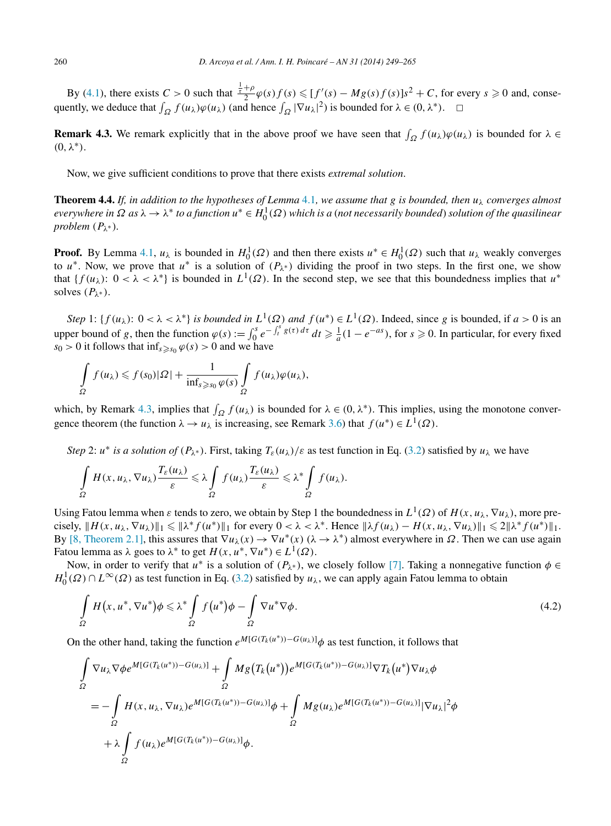<span id="page-11-0"></span>By [\(4.1\)](#page-10-0), there exists  $C > 0$  such that  $\frac{\frac{1}{2} + \rho}{2} \varphi(s) f(s) \leq [f'(s) - Mg(s) f(s)]s^2 + C$ , for every  $s \geq 0$  and, consequently, we deduce that  $\int_{\Omega} f(u_{\lambda})\varphi(u_{\lambda})$  (and hence  $\int_{\Omega} |\nabla u_{\lambda}|^2$ ) is bounded for  $\lambda \in (0, \lambda^*)$ .  $\Box$ 

**Remark 4.3.** We remark explicitly that in the above proof we have seen that  $\int_{\Omega} f(u_{\lambda}) \varphi(u_{\lambda})$  is bounded for  $\lambda \in$ *(*0*,λ*∗*)*.

Now, we give sufficient conditions to prove that there exists *extremal solution*.

**Theorem 4.4.** *If, in addition to the hypotheses of Lemma* [4.1](#page-10-0), we assume that g is bounded, then  $u_\lambda$  converges almost *everywhere in Ω as λ* → *λ*<sup>∗</sup> *to a function u*<sup>∗</sup> ∈ *H*<sup>1</sup> <sup>0</sup> *(Ω) which is a* (*not necessarily bounded*) *solution of the quasilinear problem*  $(P_{\lambda^*})$ *.* 

**Proof.** By Lemma [4.1,](#page-10-0)  $u_\lambda$  is bounded in  $H_0^1(\Omega)$  and then there exists  $u^* \in H_0^1(\Omega)$  such that  $u_\lambda$  weakly converges to  $u^*$ . Now, we prove that  $u^*$  is a solution of  $(P_{\lambda^*})$  dividing the proof in two steps. In the first one, we show that  $\{f(u_\lambda): 0 < \lambda < \lambda^*\}$  is bounded in  $L^1(\Omega)$ . In the second step, we see that this boundedness implies that  $u^*$ solves  $(P_{\lambda^*})$ .

*Step* 1: { $f(u_\lambda)$ :  $0 < \lambda < \lambda^*$ } *is bounded in*  $L^1(\Omega)$  *and*  $f(u^*) \in L^1(\Omega)$ . Indeed, since *g* is bounded, if  $a > 0$  is an upper bound of *g*, then the function  $\varphi(s) := \int_0^s e^{-\int_t^s g(\tau) d\tau} dt \ge \frac{1}{a}(1 - e^{-as})$ , for  $s \ge 0$ . In particular, for every fixed  $s_0 > 0$  it follows that  $\inf_{s \geq s_0} \varphi(s) > 0$  and we have

$$
\int_{\Omega} f(u_{\lambda}) \leqslant f(s_{0})|\Omega| + \frac{1}{\inf_{s \geqslant s_{0}} \varphi(s)} \int_{\Omega} f(u_{\lambda})\varphi(u_{\lambda}),
$$

which, by Remark 4.3, implies that  $\int_{\Omega} f(u_{\lambda})$  is bounded for  $\lambda \in (0, \lambda^*)$ . This implies, using the monotone convergence theorem (the function  $\lambda \to u_\lambda$  is increasing, see Remark [3.6\)](#page-7-0) that  $f(u^*) \in L^1(\Omega)$ .

*Step* 2: *u*<sup>\*</sup> *is a solution of*  $(P_{\lambda^*})$ . First, taking  $T_{\varepsilon}(u_\lambda)/\varepsilon$  as test function in Eq. [\(3.2\)](#page-5-0) satisfied by  $u_\lambda$  we have

$$
\int_{\Omega} H(x, u_{\lambda}, \nabla u_{\lambda}) \frac{T_{\varepsilon}(u_{\lambda})}{\varepsilon} \leq \lambda \int_{\Omega} f(u_{\lambda}) \frac{T_{\varepsilon}(u_{\lambda})}{\varepsilon} \leq \lambda^* \int_{\Omega} f(u_{\lambda}).
$$

Using Fatou lemma when  $\varepsilon$  tends to zero, we obtain by Step 1 the boundedness in  $L^1(\Omega)$  of  $H(x, u_\lambda, \nabla u_\lambda)$ , more precisely,  $\|H(x, u_\lambda, \nabla u_\lambda)\|_1 \le \|\lambda^* f(u^*)\|_1$  for every  $0 < \lambda < \lambda^*$ . Hence  $\|\lambda f(u_\lambda) - H(x, u_\lambda, \nabla u_\lambda)\|_1 \le 2\|\lambda^* f(u^*)\|_1$ . By [\[8, Theorem 2.1\],](#page-16-0) this assures that  $\nabla u_\lambda(x) \to \nabla u^*(x)$  ( $\lambda \to \lambda^*$ ) almost everywhere in  $\Omega$ . Then we can use again Fatou lemma as  $\lambda$  goes to  $\lambda^*$  to get  $H(x, u^*, \nabla u^*) \in L^1(\Omega)$ .

Now, in order to verify that  $u^*$  is a solution of  $(P_{\lambda^*})$ , we closely follow [\[7\].](#page-16-0) Taking a nonnegative function  $\phi \in$  $H_0^1(\Omega) \cap L^\infty(\Omega)$  as test function in Eq. [\(3.2\)](#page-5-0) satisfied by *u<sub>λ</sub>*, we can apply again Fatou lemma to obtain

$$
\int_{\Omega} H(x, u^*, \nabla u^*) \phi \leq \lambda^* \int_{\Omega} f(u^*) \phi - \int_{\Omega} \nabla u^* \nabla \phi.
$$
\n(4.2)

On the other hand, taking the function  $e^{M[G(T_k(u^*))-G(u_\lambda)]}\phi$  as test function, it follows that

$$
\int_{\Omega} \nabla u_{\lambda} \nabla \phi e^{M[G(T_k(u^*))-G(u_{\lambda})]} + \int_{\Omega} Mg(T_k(u^*))e^{M[G(T_k(u^*))-G(u_{\lambda})]} \nabla T_k(u^*) \nabla u_{\lambda} \phi
$$
\n
$$
= -\int_{\Omega} H(x, u_{\lambda}, \nabla u_{\lambda})e^{M[G(T_k(u^*))-G(u_{\lambda})]} \phi + \int_{\Omega} Mg(u_{\lambda})e^{M[G(T_k(u^*))-G(u_{\lambda})]} |\nabla u_{\lambda}|^2 \phi
$$
\n
$$
+ \lambda \int_{\Omega} f(u_{\lambda})e^{M[G(T_k(u^*))-G(u_{\lambda})]} \phi.
$$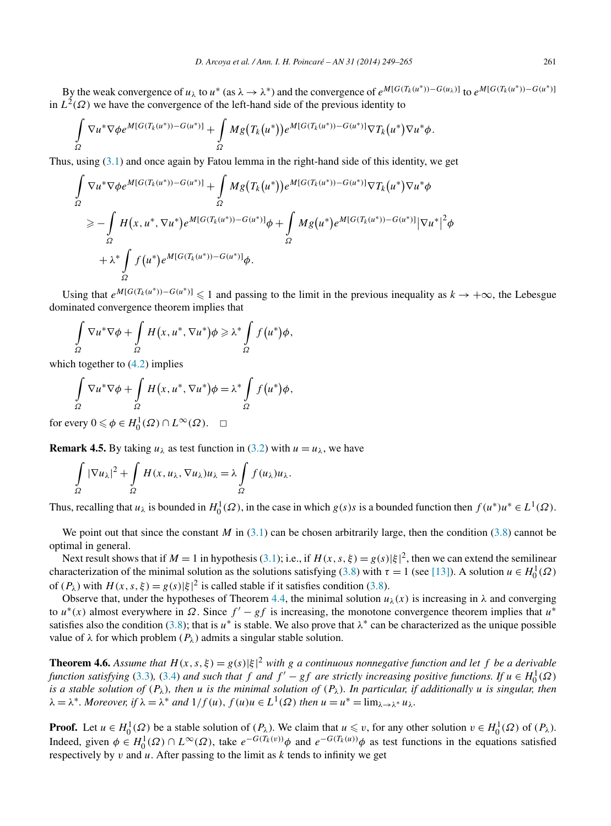<span id="page-12-0"></span>By the weak convergence of  $u_\lambda$  to  $u^*$  (as  $\lambda \to \lambda^*$ ) and the convergence of  $e^{M[G(T_k(u^*))-G(u_\lambda)]}$  to  $e^{M[G(T_k(u^*))-G(u^*)]}$ in  $L^2(\Omega)$  we have the convergence of the left-hand side of the previous identity to

$$
\int\limits_{\Omega}\nabla u^*\nabla \phi e^{M[G(T_k(u^*))-G(u^*)]}+\int\limits_{\Omega}Mg\big(T_k\big(u^*\big)\big)e^{M[G(T_k(u^*))-G(u^*)]}\nabla T_k\big(u^*\big)\nabla u^*\phi.
$$

Thus, using [\(3.1\)](#page-5-0) and once again by Fatou lemma in the right-hand side of this identity, we get

$$
\int_{\Omega} \nabla u^* \nabla \phi e^{M[G(T_k(u^*))-G(u^*)]} + \int_{\Omega} Mg(T_k(u^*))e^{M[G(T_k(u^*))-G(u^*)]} \nabla T_k(u^*) \nabla u^* \phi
$$
\n
$$
\geq -\int_{\Omega} H(x, u^*, \nabla u^*)e^{M[G(T_k(u^*))-G(u^*)]} \phi + \int_{\Omega} Mg(u^*)e^{M[G(T_k(u^*))-G(u^*)]} |\nabla u^*|^2 \phi
$$
\n
$$
+ \lambda^* \int_{\Omega} f(u^*)e^{M[G(T_k(u^*))-G(u^*)]} \phi.
$$

Using that  $e^{M[G(T_k(u^*))-G(u^*)]} \leq 1$  and passing to the limit in the previous inequality as  $k \to +\infty$ , the Lebesgue dominated convergence theorem implies that

$$
\int_{\Omega} \nabla u^* \nabla \phi + \int_{\Omega} H(x, u^*, \nabla u^*) \phi \geq \lambda^* \int_{\Omega} f(u^*) \phi,
$$

which together to  $(4.2)$  implies

$$
\int_{\Omega} \nabla u^* \nabla \phi + \int_{\Omega} H(x, u^*, \nabla u^*) \phi = \lambda^* \int_{\Omega} f(u^*) \phi,
$$

for every  $0 \le \phi \in H_0^1(\Omega) \cap L^\infty(\Omega)$ .  $\Box$ 

**Remark 4.5.** By taking  $u_{\lambda}$  as test function in [\(3.2\)](#page-5-0) with  $u = u_{\lambda}$ , we have

$$
\int_{\Omega} |\nabla u_{\lambda}|^2 + \int_{\Omega} H(x, u_{\lambda}, \nabla u_{\lambda}) u_{\lambda} = \lambda \int_{\Omega} f(u_{\lambda}) u_{\lambda}.
$$

Thus, recalling that  $u_\lambda$  is bounded in  $H_0^1(\Omega)$ , in the case in which  $g(s)s$  is a bounded function then  $f(u^*)u^* \in L^1(\Omega)$ .

We point out that since the constant *M* in  $(3.1)$  can be chosen arbitrarily large, then the condition  $(3.8)$  cannot be optimal in general.

Next result shows that if  $M = 1$  in hypothesis [\(3.1\)](#page-5-0); i.e., if  $H(x, s, \xi) = g(s)|\xi|^2$ , then we can extend the semilinear characterization of the minimal solution as the solutions satisfying [\(3.8\)](#page-8-0) with  $\tau = 1$  (see [\[13\]\)](#page-16-0). A solution  $u \in H_0^1(\Omega)$ of  $(P_\lambda)$  with  $H(x, s, \xi) = g(s)|\xi|^2$  is called stable if it satisfies condition [\(3.8\)](#page-8-0).

Observe that, under the hypotheses of Theorem [4.4,](#page-11-0) the minimal solution  $u_\lambda(x)$  is increasing in  $\lambda$  and converging to  $u^*(x)$  almost everywhere in  $\Omega$ . Since  $f' - gf$  is increasing, the monotone convergence theorem implies that  $u^*$ satisfies also the condition [\(3.8\)](#page-8-0); that is  $u^*$  is stable. We also prove that  $\lambda^*$  can be characterized as the unique possible value of  $\lambda$  for which problem  $(P_{\lambda})$  admits a singular stable solution.

**Theorem 4.6.** Assume that  $H(x, s, \xi) = g(s)|\xi|^2$  with g a continuous nonnegative function and let f be a derivable *function satisfying* [\(3.3\)](#page-5-0), [\(3.4\)](#page-5-0) *and such that*  $f$  *and*  $f' - gf$  *are strictly increasing positive functions. If*  $u \in H_0^1(\Omega)$ *is a stable solution of*  $(P_\lambda)$ *, then u is the minimal solution of*  $(P_\lambda)$ *. In particular, if additionally u is singular, then*  $\lambda = \lambda^*$ *. Moreover, if*  $\lambda = \lambda^*$  *and*  $1/f(u)$ *,*  $f(u)u \in L^1(\Omega)$  *then*  $u = u^* = \lim_{\lambda \to \lambda^*} u_\lambda$ *.* 

**Proof.** Let  $u \in H_0^1(\Omega)$  be a stable solution of  $(P_\lambda)$ . We claim that  $u \leq v$ , for any other solution  $v \in H_0^1(\Omega)$  of  $(P_\lambda)$ . Indeed, given  $\phi \in H_0^1(\Omega) \cap L^\infty(\Omega)$ , take  $e^{-G(T_k(v))}\phi$  and  $e^{-G(T_k(u))}\phi$  as test functions in the equations satisfied respectively by *v* and *u*. After passing to the limit as *k* tends to infinity we get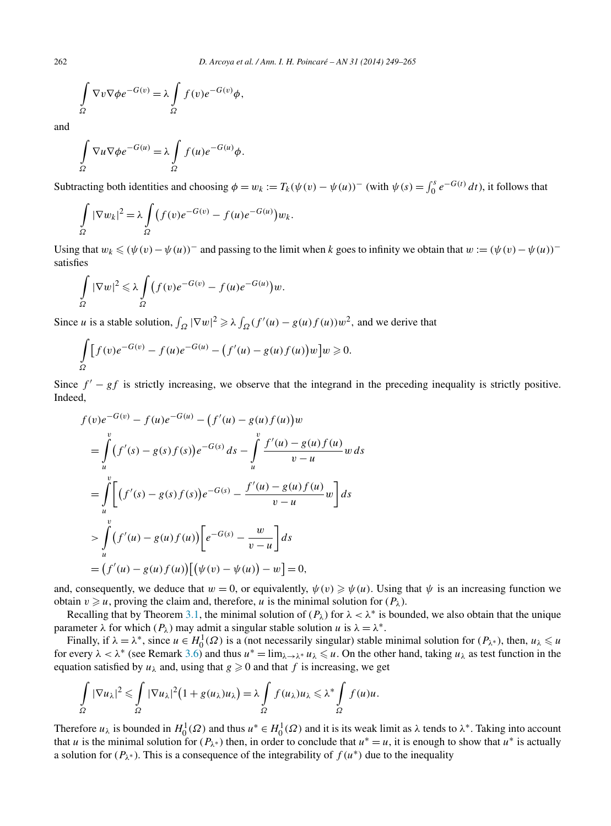$$
\int_{\Omega} \nabla v \nabla \phi e^{-G(v)} = \lambda \int_{\Omega} f(v) e^{-G(v)} \phi,
$$

and

$$
\int_{\Omega} \nabla u \nabla \phi e^{-G(u)} = \lambda \int_{\Omega} f(u) e^{-G(u)} \phi.
$$

Subtracting both identities and choosing  $\phi = w_k := T_k(\psi(v) - \psi(u))$ <sup>–</sup> (with  $\psi(s) = \int_0^s e^{-G(t)} dt$ ), it follows that

$$
\int_{\Omega} |\nabla w_k|^2 = \lambda \int_{\Omega} (f(v)e^{-G(v)} - f(u)e^{-G(u)})w_k.
$$

Using that  $w_k \leq (\psi(v) - \psi(u))$ <sup>−</sup> and passing to the limit when *k* goes to infinity we obtain that  $w := (\psi(v) - \psi(u))$ <sup>−</sup> satisfies

$$
\int_{\Omega} |\nabla w|^2 \leq \lambda \int_{\Omega} (f(v)e^{-G(v)} - f(u)e^{-G(u)})w.
$$

Since *u* is a stable solution,  $\int_{\Omega} |\nabla w|^2 \ge \lambda \int_{\Omega} (f'(u) - g(u)f(u))w^2$ , and we derive that

$$
\int_{\Omega} [f(v)e^{-G(v)} - f(u)e^{-G(u)} - (f'(u) - g(u)f(u))w]w \ge 0.
$$

Since  $f' - gf$  is strictly increasing, we observe that the integrand in the preceding inequality is strictly positive. Indeed,

$$
f(v)e^{-G(v)} - f(u)e^{-G(u)} - (f'(u) - g(u)f(u))w
$$
  
= 
$$
\int_{u}^{v} (f'(s) - g(s)f(s))e^{-G(s)} ds - \int_{u}^{v} \frac{f'(u) - g(u)f(u)}{v - u} w ds
$$
  
= 
$$
\int_{u}^{v} \left[ (f'(s) - g(s)f(s))e^{-G(s)} - \frac{f'(u) - g(u)f(u)}{v - u} w \right] ds
$$
  
> 
$$
\int_{u}^{v} (f'(u) - g(u)f(u)) \left[ e^{-G(s)} - \frac{w}{v - u} \right] ds
$$
  
= 
$$
(f'(u) - g(u)f(u)) \left[ (\psi(v) - \psi(u)) - w \right] = 0,
$$

and, consequently, we deduce that  $w = 0$ , or equivalently,  $\psi(v) \geq \psi(u)$ . Using that  $\psi$  is an increasing function we obtain  $v \geq u$ , proving the claim and, therefore, *u* is the minimal solution for  $(P_\lambda)$ .

Recalling that by Theorem [3.1,](#page-5-0) the minimal solution of  $(P_\lambda)$  for  $\lambda < \lambda^*$  is bounded, we also obtain that the unique parameter  $\lambda$  for which  $(P_\lambda)$  may admit a singular stable solution *u* is  $\lambda = \lambda^*$ .

Finally, if  $\lambda = \lambda^*$ , since  $u \in H_0^1(\Omega)$  is a (not necessarily singular) stable minimal solution for  $(P_{\lambda^*})$ , then,  $u_{\lambda} \le u$ for every  $\lambda < \lambda^*$  (see Remark [3.6\)](#page-7-0) and thus  $u^* = \lim_{\lambda \to \lambda^*} u_\lambda \leq u$ . On the other hand, taking  $u_\lambda$  as test function in the equation satisfied by  $u_{\lambda}$  and, using that  $g \ge 0$  and that f is increasing, we get

$$
\int_{\Omega} |\nabla u_{\lambda}|^2 \leq \int_{\Omega} |\nabla u_{\lambda}|^2 (1 + g(u_{\lambda})u_{\lambda}) = \lambda \int_{\Omega} f(u_{\lambda})u_{\lambda} \leq \lambda^* \int_{\Omega} f(u)u.
$$

Therefore  $u_\lambda$  is bounded in  $H_0^1(\Omega)$  and thus  $u^* \in H_0^1(\Omega)$  and it is its weak limit as  $\lambda$  tends to  $\lambda^*$ . Taking into account that *u* is the minimal solution for  $(P_{\lambda^*})$  then, in order to conclude that  $u^* = u$ , it is enough to show that  $u^*$  is actually a solution for  $(P_{\lambda^*})$ . This is a consequence of the integrability of  $f(u^*)$  due to the inequality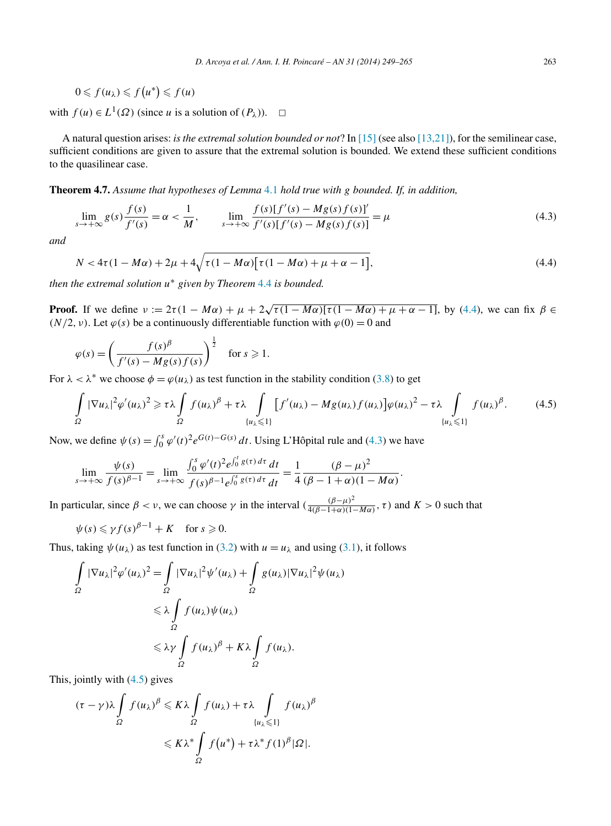<span id="page-14-0"></span>
$$
0 \leqslant f(u_\lambda) \leqslant f(u^*) \leqslant f(u)
$$

with  $f(u) \in L^1(\Omega)$  (since *u* is a solution of  $(P_\lambda)$ ).  $\Box$ 

A natural question arises: *is the extremal solution bounded or not*? In [\[15\]](#page-16-0) (see also [\[13,21\]\)](#page-16-0), for the semilinear case, sufficient conditions are given to assure that the extremal solution is bounded. We extend these sufficient conditions to the quasilinear case.

**Theorem 4.7.** *Assume that hypotheses of Lemma* [4.1](#page-10-0) *hold true with g bounded. If, in addition,*

$$
\lim_{s \to +\infty} g(s) \frac{f(s)}{f'(s)} = \alpha < \frac{1}{M}, \qquad \lim_{s \to +\infty} \frac{f(s)[f'(s) - Mg(s)f(s)]'}{f'(s)[f'(s) - Mg(s)f(s)]} = \mu \tag{4.3}
$$

*and*

$$
N < 4\tau (1 - M\alpha) + 2\mu + 4\sqrt{\tau (1 - M\alpha)} [\tau (1 - M\alpha) + \mu + \alpha - 1],
$$
\n(4.4)

*then the extremal solution u*<sup>∗</sup> *given by Theorem* [4.4](#page-11-0) *is bounded.*

**Proof.** If we define  $\nu := 2\tau(1 - M\alpha) + \mu + 2\sqrt{\tau(1 - M\alpha)}[\tau(1 - M\alpha) + \mu + \alpha - 1]$ , by (4.4), we can fix  $\beta \in$ *(N/2, v)*. Let  $\varphi(s)$  be a continuously differentiable function with  $\varphi(0) = 0$  and

$$
\varphi(s) = \left(\frac{f(s)^{\beta}}{f'(s) - Mg(s)f(s)}\right)^{\frac{1}{2}} \quad \text{for } s \geq 1.
$$

For  $\lambda < \lambda^*$  we choose  $\phi = \varphi(u_\lambda)$  as test function in the stability condition [\(3.8\)](#page-8-0) to get

$$
\int_{\Omega} |\nabla u_{\lambda}|^2 \varphi'(u_{\lambda})^2 \ge \tau \lambda \int_{\Omega} f(u_{\lambda})^{\beta} + \tau \lambda \int_{\{u_{\lambda} \le 1\}} [f'(u_{\lambda}) - Mg(u_{\lambda}) f(u_{\lambda})] \varphi(u_{\lambda})^2 - \tau \lambda \int_{\{u_{\lambda} \le 1\}} f(u_{\lambda})^{\beta}.
$$
 (4.5)

Now, we define  $\psi(s) = \int_0^s \varphi'(t)^2 e^{G(t) - G(s)} dt$ . Using L'Hôpital rule and (4.3) we have

$$
\lim_{s \to +\infty} \frac{\psi(s)}{f(s)^{\beta-1}} = \lim_{s \to +\infty} \frac{\int_0^s \varphi'(t)^2 e^{\int_0^t g(\tau) d\tau} dt}{f(s)^{\beta-1} e^{\int_0^s g(\tau) d\tau} dt} = \frac{1}{4} \frac{(\beta - \mu)^2}{(\beta - 1 + \alpha)(1 - M\alpha)}.
$$

In particular, since  $\beta < \nu$ , we can choose  $\gamma$  in the interval  $\left(\frac{(\beta-\mu)^2}{4(\beta-1+\alpha)(1-M\alpha)}, \tau\right)$  and  $K > 0$  such that

$$
\psi(s) \leqslant \gamma f(s)^{\beta - 1} + K \quad \text{for } s \geqslant 0.
$$

Thus, taking  $\psi(u_\lambda)$  as test function in [\(3.2\)](#page-5-0) with  $u = u_\lambda$  and using [\(3.1\)](#page-5-0), it follows

$$
\int_{\Omega} |\nabla u_{\lambda}|^2 \varphi'(u_{\lambda})^2 = \int_{\Omega} |\nabla u_{\lambda}|^2 \psi'(u_{\lambda}) + \int_{\Omega} g(u_{\lambda}) |\nabla u_{\lambda}|^2 \psi(u_{\lambda})
$$
  

$$
\leq \lambda \int_{\Omega} f(u_{\lambda}) \psi(u_{\lambda})
$$
  

$$
\leq \lambda \gamma \int_{\Omega} f(u_{\lambda})^{\beta} + K \lambda \int_{\Omega} f(u_{\lambda}).
$$

This, jointly with (4.5) gives

$$
(\tau - \gamma)\lambda \int_{\Omega} f(u_{\lambda})^{\beta} \leq K\lambda \int_{\Omega} f(u_{\lambda}) + \tau \lambda \int_{\{u_{\lambda} \leq 1\}} f(u_{\lambda})^{\beta}
$$
  

$$
\leq K\lambda^* \int_{\Omega} f(u^*) + \tau \lambda^* f(1)^{\beta} |\Omega|.
$$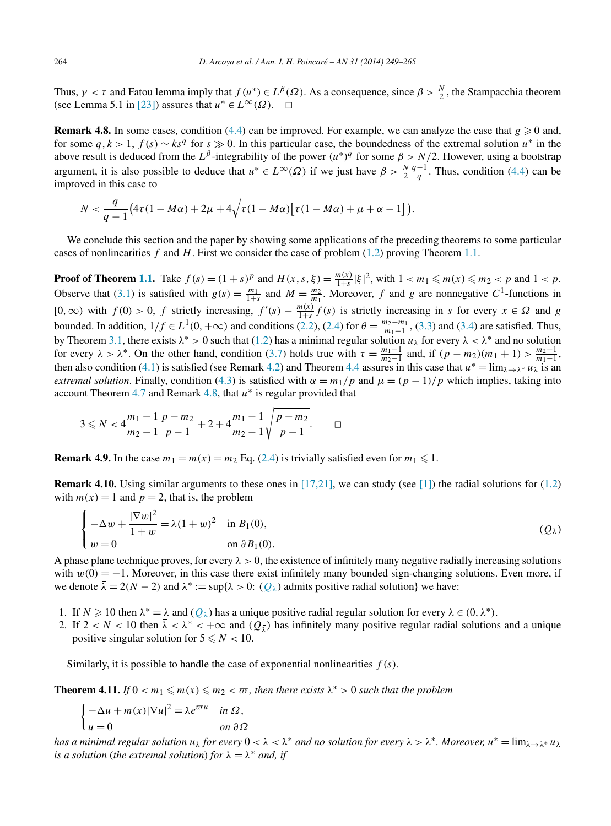<span id="page-15-0"></span>Thus,  $\gamma < \tau$  and Fatou lemma imply that  $f(u^*) \in L^{\beta}(\Omega)$ . As a consequence, since  $\beta > \frac{N}{2}$ , the Stampacchia theorem (see Lemma 5.1 in [\[23\]\)](#page-16-0) assures that  $u^* \in L^{\infty}(\Omega)$ .  $\Box$ 

**Remark 4.8.** In some cases, condition [\(4.4\)](#page-14-0) can be improved. For example, we can analyze the case that  $g \ge 0$  and, for some  $q, k > 1$ ,  $f(s) \sim ks^q$  for  $s \gg 0$ . In this particular case, the boundedness of the extremal solution  $u^*$  in the above result is deduced from the  $L^{\beta}$ -integrability of the power  $(u^*)^q$  for some  $\beta > N/2$ . However, using a bootstrap argument, it is also possible to deduce that  $u^* \in L^{\infty}(\Omega)$  if we just have  $\beta > \frac{N}{2}$  $\frac{q-1}{q}$ . Thus, condition [\(4.4\)](#page-14-0) can be improved in this case to

$$
N<\frac{q}{q-1}\big(4\tau(1-M\alpha)+2\mu+4\sqrt{\tau(1-M\alpha)\big[\tau(1-M\alpha)+\mu+\alpha-1\big]}\big).
$$

We conclude this section and the paper by showing some applications of the preceding theorems to some particular cases of nonlinearities *f* and *H*. First we consider the case of problem [\(1.2\)](#page-1-0) proving Theorem [1.1.](#page-2-0)

**Proof of Theorem [1.1.](#page-2-0)** Take  $f(s) = (1 + s)^p$  and  $H(x, s, \xi) = \frac{m(x)}{1 + s} |\xi|^2$ , with  $1 < m_1 \le m(x) \le m_2 < p$  and  $1 < p$ . Observe that [\(3.1\)](#page-5-0) is satisfied with  $g(s) = \frac{m_1}{1+s}$  and  $M = \frac{m_2}{m_1}$ . Moreover, f and g are nonnegative  $C^1$ -functions in  $[0, \infty)$  with  $f(0) > 0$ ,  $f$  strictly increasing,  $f'(s) - \frac{m(x)}{1+s} f(s)$  is strictly increasing in *s* for every  $x \in \Omega$  and *g* bounded. In addition,  $1/f \in L^1(0, +\infty)$  and conditions [\(2.2\)](#page-3-0), [\(2.4\)](#page-3-0) for  $\theta = \frac{m_2 - m_1}{m_1 - 1}$ , [\(3.3\)](#page-5-0) and [\(3.4\)](#page-5-0) are satisfied. Thus, by Theorem [3.1,](#page-5-0) there exists  $\lambda^* > 0$  such that [\(1.2\)](#page-1-0) has a minimal regular solution  $u_\lambda$  for every  $\lambda < \lambda^*$  and no solution for every  $\lambda > \lambda^*$ . On the other hand, condition [\(3.7\)](#page-8-0) holds true with  $\tau = \frac{m_1 - 1}{m_2 - 1}$  and, if  $(p - m_2)(m_1 + 1) > \frac{m_2 - 1}{m_1 - 1}$ , then also condition [\(4.1\)](#page-10-0) is satisfied (see Remark [4.2\)](#page-10-0) and Theorem [4.4](#page-11-0) assures in this case that  $u^* = \lim_{\lambda \to \lambda^*} u_\lambda$  is an *extremal solution*. Finally, condition [\(4.3\)](#page-14-0) is satisfied with  $\alpha = m_1/p$  and  $\mu = (p - 1)/p$  which implies, taking into account Theorem [4.7](#page-14-0) and Remark 4.8, that *u*<sup>∗</sup> is regular provided that

$$
3 \leq N < 4\frac{m_1 - 1}{m_2 - 1}\frac{p - m_2}{p - 1} + 2 + 4\frac{m_1 - 1}{m_2 - 1}\sqrt{\frac{p - m_2}{p - 1}}.\quad \Box
$$

**Remark 4.9.** In the case  $m_1 = m(x) = m_2$  Eq. [\(2.4\)](#page-3-0) is trivially satisfied even for  $m_1 \le 1$ .

**Remark 4.10.** Using similar arguments to these ones in  $[17,21]$ , we can study (see [\[1\]\)](#page-16-0) the radial solutions for [\(1.2\)](#page-1-0) with  $m(x) = 1$  and  $p = 2$ , that is, the problem

$$
\begin{cases}\n-\Delta w + \frac{|\nabla w|^2}{1+w} = \lambda (1+w)^2 & \text{in } B_1(0), \\
w = 0 & \text{on } \partial B_1(0).\n\end{cases}
$$
\n
$$
(Q_\lambda)
$$

A phase plane technique proves, for every  $\lambda > 0$ , the existence of infinitely many negative radially increasing solutions with  $w(0) = -1$ . Moreover, in this case there exist infinitely many bounded sign-changing solutions. Even more, if we denote  $\overline{\lambda} = 2(N - 2)$  and  $\lambda^* := \sup{\lambda > 0$ :  $(Q_{\lambda})$  admits positive radial solution} we have:

- 1. If  $N \ge 10$  then  $\lambda^* = \overline{\lambda}$  and  $(O_\lambda)$  has a unique positive radial regular solution for every  $\lambda \in (0, \lambda^*)$ .
- 2. If  $2 < N < 10$  then  $\lambda < \lambda^* < +\infty$  and  $(Q_{\lambda})$  has infinitely many positive regular radial solutions and a unique positive singular solution for  $5 \le N < 10$ .

Similarly, it is possible to handle the case of exponential nonlinearities  $f(s)$ .

**Theorem 4.11.** *If*  $0 < m_1 \le m(x) \le m_2 < \varpi$ , then there exists  $\lambda^* > 0$  such that the problem

$$
\begin{cases}\n-\Delta u + m(x)|\nabla u|^2 = \lambda e^{\overline{\omega} u} & \text{in } \Omega, \\
u = 0 & \text{on } \partial \Omega\n\end{cases}
$$

*has a minimal regular solution*  $u_\lambda$  *for every*  $0 < \lambda < \lambda^*$  *and no solution for every*  $\lambda > \lambda^*$ *. Moreover,*  $u^* = \lim_{\lambda \to \lambda^*} u_\lambda$ *is a solution (the extremal solution) for*  $\lambda = \lambda^*$  *and, if*